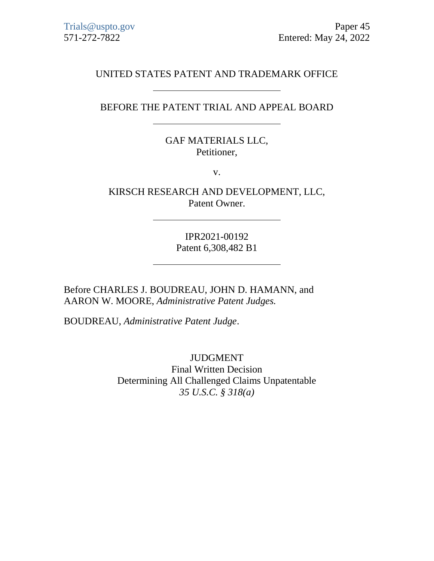# UNITED STATES PATENT AND TRADEMARK OFFICE

## BEFORE THE PATENT TRIAL AND APPEAL BOARD

# GAF MATERIALS LLC, Petitioner,

v.

KIRSCH RESEARCH AND DEVELOPMENT, LLC, Patent Owner.

> IPR2021-00192 Patent 6,308,482 B1

Before CHARLES J. BOUDREAU, JOHN D. HAMANN, and AARON W. MOORE, *Administrative Patent Judges.*

BOUDREAU, *Administrative Patent Judge*.

JUDGMENT Final Written Decision Determining All Challenged Claims Unpatentable *35 U.S.C. § 318(a)*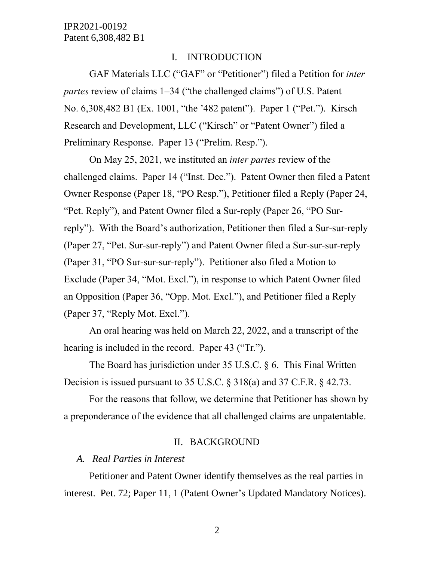#### I. INTRODUCTION

GAF Materials LLC ("GAF" or "Petitioner") filed a Petition for *inter partes* review of claims 1–34 ("the challenged claims") of U.S. Patent No. 6,308,482 B1 (Ex. 1001, "the '482 patent"). Paper 1 ("Pet."). Kirsch Research and Development, LLC ("Kirsch" or "Patent Owner") filed a Preliminary Response. Paper 13 ("Prelim. Resp.").

On May 25, 2021, we instituted an *inter partes* review of the challenged claims. Paper 14 ("Inst. Dec."). Patent Owner then filed a Patent Owner Response (Paper 18, "PO Resp."), Petitioner filed a Reply (Paper 24, "Pet. Reply"), and Patent Owner filed a Sur-reply (Paper 26, "PO Surreply"). With the Board's authorization, Petitioner then filed a Sur-sur-reply (Paper 27, "Pet. Sur-sur-reply") and Patent Owner filed a Sur-sur-sur-reply (Paper 31, "PO Sur-sur-sur-reply"). Petitioner also filed a Motion to Exclude (Paper 34, "Mot. Excl."), in response to which Patent Owner filed an Opposition (Paper 36, "Opp. Mot. Excl."), and Petitioner filed a Reply (Paper 37, "Reply Mot. Excl.").

An oral hearing was held on March 22, 2022, and a transcript of the hearing is included in the record. Paper 43 ("Tr.").

The Board has jurisdiction under 35 U.S.C. § 6. This Final Written Decision is issued pursuant to 35 U.S.C. § 318(a) and 37 C.F.R. § 42.73.

For the reasons that follow, we determine that Petitioner has shown by a preponderance of the evidence that all challenged claims are unpatentable.

#### II. BACKGROUND

#### *A. Real Parties in Interest*

Petitioner and Patent Owner identify themselves as the real parties in interest. Pet. 72; Paper 11, 1 (Patent Owner's Updated Mandatory Notices).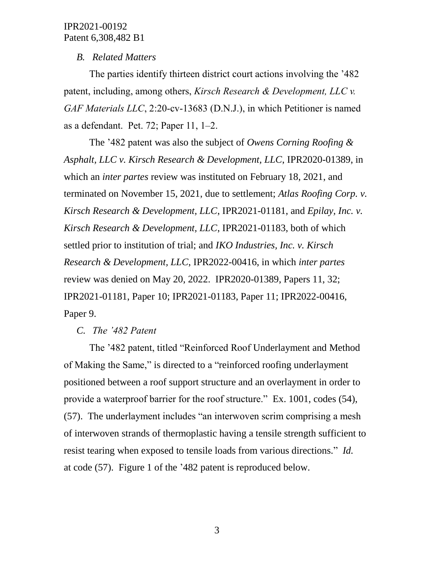# *B. Related Matters*

The parties identify thirteen district court actions involving the '482 patent, including, among others, *Kirsch Research & Development, LLC v. GAF Materials LLC*, 2:20-cv-13683 (D.N.J.), in which Petitioner is named as a defendant. Pet. 72; Paper 11, 1–2.

The '482 patent was also the subject of *Owens Corning Roofing & Asphalt, LLC v. Kirsch Research & Development, LLC*, IPR2020-01389, in which an *inter partes* review was instituted on February 18, 2021, and terminated on November 15, 2021, due to settlement; *Atlas Roofing Corp. v. Kirsch Research & Development, LLC*, IPR2021-01181, and *Epilay, Inc. v. Kirsch Research & Development, LLC*, IPR2021-01183, both of which settled prior to institution of trial; and *IKO Industries, Inc. v. Kirsch Research & Development, LLC*, IPR2022-00416, in which *inter partes*  review was denied on May 20, 2022. IPR2020-01389, Papers 11, 32; IPR2021-01181, Paper 10; IPR2021-01183, Paper 11; IPR2022-00416, Paper 9.

#### *C. The '482 Patent*

The '482 patent, titled "Reinforced Roof Underlayment and Method of Making the Same," is directed to a "reinforced roofing underlayment positioned between a roof support structure and an overlayment in order to provide a waterproof barrier for the roof structure." Ex. 1001, codes (54), (57). The underlayment includes "an interwoven scrim comprising a mesh of interwoven strands of thermoplastic having a tensile strength sufficient to resist tearing when exposed to tensile loads from various directions." *Id.* at code (57). Figure 1 of the '482 patent is reproduced below.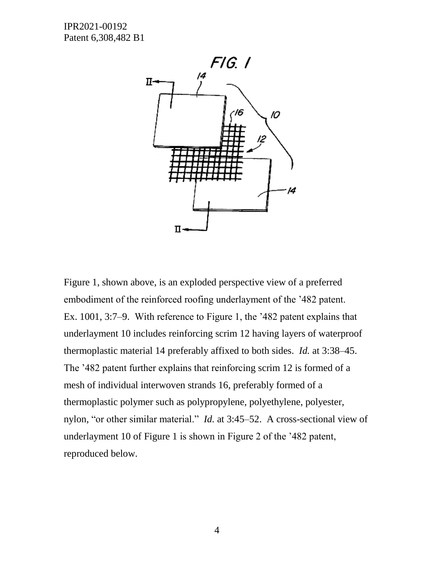

Figure 1, shown above, is an exploded perspective view of a preferred embodiment of the reinforced roofing underlayment of the '482 patent. Ex. 1001, 3:7–9. With reference to Figure 1, the '482 patent explains that underlayment 10 includes reinforcing scrim 12 having layers of waterproof thermoplastic material 14 preferably affixed to both sides. *Id.* at 3:38–45. The '482 patent further explains that reinforcing scrim 12 is formed of a mesh of individual interwoven strands 16, preferably formed of a thermoplastic polymer such as polypropylene, polyethylene, polyester, nylon, "or other similar material." *Id.* at 3:45–52. A cross-sectional view of underlayment 10 of Figure 1 is shown in Figure 2 of the '482 patent, reproduced below.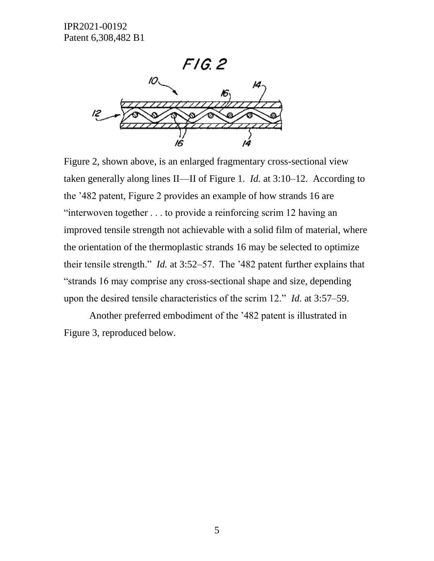# FIG. 2



Figure 2, shown above, is an enlarged fragmentary cross-sectional view taken generally along lines II—II of Figure 1. *Id.* at 3:10–12. According to the '482 patent, Figure 2 provides an example of how strands 16 are "interwoven together . . . to provide a reinforcing scrim 12 having an improved tensile strength not achievable with a solid film of material, where the orientation of the thermoplastic strands 16 may be selected to optimize their tensile strength." *Id.* at 3:52–57. The '482 patent further explains that "strands 16 may comprise any cross-sectional shape and size, depending upon the desired tensile characteristics of the scrim 12." *Id.* at 3:57–59.

Another preferred embodiment of the '482 patent is illustrated in Figure 3, reproduced below.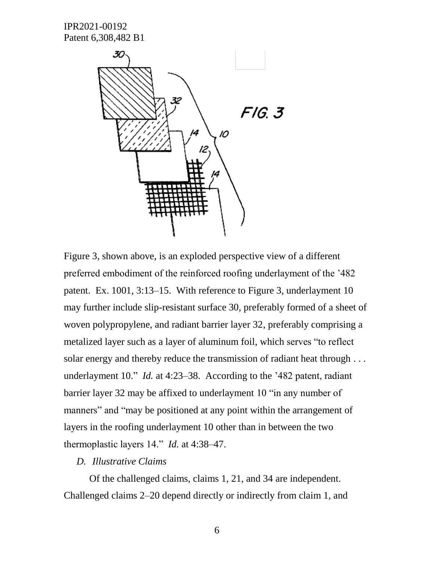



Figure 3, shown above, is an exploded perspective view of a different preferred embodiment of the reinforced roofing underlayment of the '482 patent. Ex. 1001, 3:13–15. With reference to Figure 3, underlayment 10 may further include slip-resistant surface 30, preferably formed of a sheet of woven polypropylene, and radiant barrier layer 32, preferably comprising a metalized layer such as a layer of aluminum foil, which serves "to reflect solar energy and thereby reduce the transmission of radiant heat through . . . underlayment 10." *Id.* at 4:23–38. According to the '482 patent, radiant barrier layer 32 may be affixed to underlayment 10 "in any number of manners" and "may be positioned at any point within the arrangement of layers in the roofing underlayment 10 other than in between the two thermoplastic layers 14." *Id.* at 4:38–47.

#### *D. Illustrative Claims*

Of the challenged claims, claims 1, 21, and 34 are independent. Challenged claims 2–20 depend directly or indirectly from claim 1, and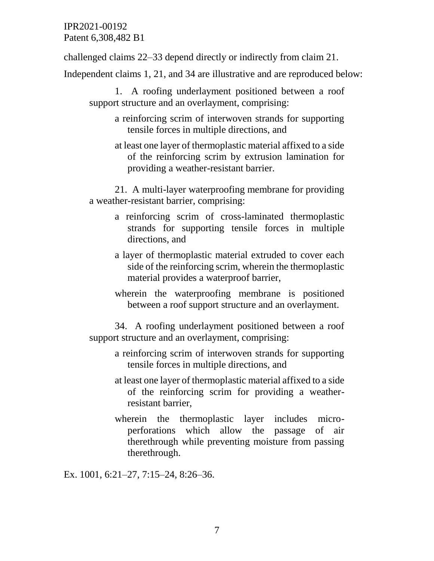challenged claims 22–33 depend directly or indirectly from claim 21.

Independent claims 1, 21, and 34 are illustrative and are reproduced below:

1. A roofing underlayment positioned between a roof support structure and an overlayment, comprising:

- a reinforcing scrim of interwoven strands for supporting tensile forces in multiple directions, and
- at least one layer of thermoplastic material affixed to a side of the reinforcing scrim by extrusion lamination for providing a weather-resistant barrier.

21. A multi-layer waterproofing membrane for providing a weather-resistant barrier, comprising:

- a reinforcing scrim of cross-laminated thermoplastic strands for supporting tensile forces in multiple directions, and
- a layer of thermoplastic material extruded to cover each side of the reinforcing scrim, wherein the thermoplastic material provides a waterproof barrier,
- wherein the waterproofing membrane is positioned between a roof support structure and an overlayment.

34. A roofing underlayment positioned between a roof support structure and an overlayment, comprising:

- a reinforcing scrim of interwoven strands for supporting tensile forces in multiple directions, and
- at least one layer of thermoplastic material affixed to a side of the reinforcing scrim for providing a weatherresistant barrier,
- wherein the thermoplastic layer includes microperforations which allow the passage of air therethrough while preventing moisture from passing therethrough.

Ex. 1001, 6:21–27, 7:15–24, 8:26–36.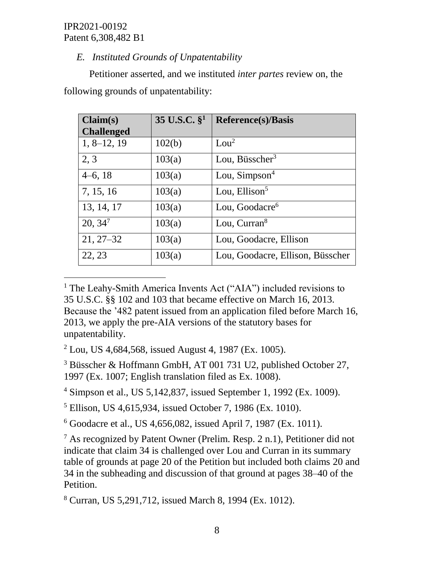$\overline{a}$ 

# *E. Instituted Grounds of Unpatentability*

Petitioner asserted, and we instituted *inter partes* review on, the following grounds of unpatentability:

| Claim(s)          | 35 U.S.C. $\S^1$ | <b>Reference(s)/Basis</b>        |
|-------------------|------------------|----------------------------------|
| <b>Challenged</b> |                  |                                  |
| $1, 8-12, 19$     | 102(b)           | Lou <sup>2</sup>                 |
| 2, 3              | 103(a)           | Lou, Büsscher <sup>3</sup>       |
| $4-6, 18$         | 103(a)           | Lou, Simpson <sup>4</sup>        |
| 7, 15, 16         | 103(a)           | Lou, Ellison $5$                 |
| 13, 14, 17        | 103(a)           | Lou, Goodacre <sup>6</sup>       |
| $20, 34^7$        | 103(a)           | Lou, $Curran8$                   |
| $21, 27 - 32$     | 103(a)           | Lou, Goodacre, Ellison           |
| 22, 23            | 103(a)           | Lou, Goodacre, Ellison, Büsscher |

<sup>1</sup> The Leahy-Smith America Invents Act ("AIA") included revisions to 35 U.S.C. §§ 102 and 103 that became effective on March 16, 2013. Because the '482 patent issued from an application filed before March 16, 2013, we apply the pre-AIA versions of the statutory bases for unpatentability.

 $2$  Lou, US 4,684,568, issued August 4, 1987 (Ex. 1005).

<sup>3</sup> Büsscher & Hoffmann GmbH, AT 001 731 U2, published October 27, 1997 (Ex. 1007; English translation filed as Ex. 1008).

<sup>4</sup> Simpson et al., US 5,142,837, issued September 1, 1992 (Ex. 1009).

<sup>5</sup> Ellison, US 4,615,934, issued October 7, 1986 (Ex. 1010).

<sup>6</sup> Goodacre et al., US 4,656,082, issued April 7, 1987 (Ex. 1011).

 $7$  As recognized by Patent Owner (Prelim. Resp. 2 n.1), Petitioner did not indicate that claim 34 is challenged over Lou and Curran in its summary table of grounds at page 20 of the Petition but included both claims 20 and 34 in the subheading and discussion of that ground at pages 38–40 of the Petition.

<sup>8</sup> Curran, US 5,291,712, issued March 8, 1994 (Ex. 1012).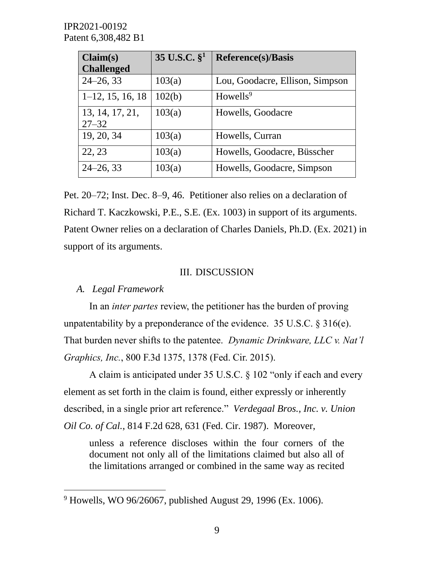| Claim(s)                     | 35 U.S.C. $\S^1$ | <b>Reference(s)/Basis</b>       |
|------------------------------|------------------|---------------------------------|
| <b>Challenged</b>            |                  |                                 |
| $24 - 26, 33$                | 103(a)           | Lou, Goodacre, Ellison, Simpson |
| $1-12, 15, 16, 18$           | 102(b)           | Howells <sup>9</sup>            |
| 13, 14, 17, 21,<br>$27 - 32$ | 103(a)           | Howells, Goodacre               |
| 19, 20, 34                   | 103(a)           | Howells, Curran                 |
| 22, 23                       | 103(a)           | Howells, Goodacre, Büsscher     |
| $24 - 26, 33$                | 103(a)           | Howells, Goodacre, Simpson      |

Pet. 20–72; Inst. Dec. 8–9, 46. Petitioner also relies on a declaration of Richard T. Kaczkowski, P.E., S.E. (Ex. 1003) in support of its arguments. Patent Owner relies on a declaration of Charles Daniels, Ph.D. (Ex. 2021) in support of its arguments.

#### III. DISCUSSION

# *A. Legal Framework*

 $\overline{a}$ 

In an *inter partes* review, the petitioner has the burden of proving unpatentability by a preponderance of the evidence. 35 U.S.C.  $\S 316(e)$ . That burden never shifts to the patentee. *Dynamic Drinkware, LLC v. Nat'l Graphics, Inc.*, 800 F.3d 1375, 1378 (Fed. Cir. 2015).

A claim is anticipated under 35 U.S.C. § 102 "only if each and every element as set forth in the claim is found, either expressly or inherently described, in a single prior art reference." *Verdegaal Bros., Inc. v. Union Oil Co. of Cal.*, 814 F.2d 628, 631 (Fed. Cir. 1987). Moreover,

unless a reference discloses within the four corners of the document not only all of the limitations claimed but also all of the limitations arranged or combined in the same way as recited

 $9$  Howells, WO 96/26067, published August 29, 1996 (Ex. 1006).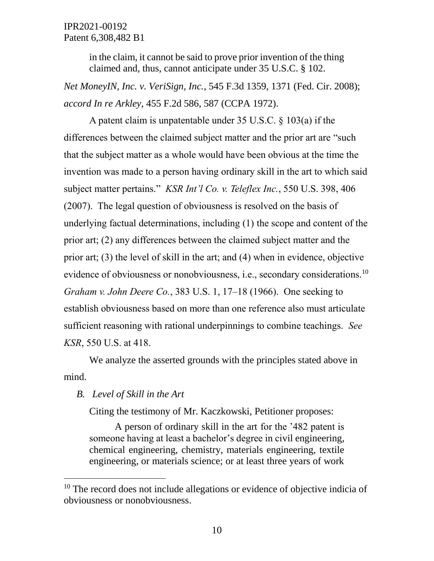in the claim, it cannot be said to prove prior invention of the thing claimed and, thus, cannot anticipate under 35 U.S.C. § 102.

*Net MoneyIN, Inc. v. VeriSign, Inc.*, 545 F.3d 1359, 1371 (Fed. Cir. 2008); *accord In re Arkley*, 455 F.2d 586, 587 (CCPA 1972).

A patent claim is unpatentable under 35 U.S.C. § 103(a) if the differences between the claimed subject matter and the prior art are "such that the subject matter as a whole would have been obvious at the time the invention was made to a person having ordinary skill in the art to which said subject matter pertains." *KSR Int'l Co. v. Teleflex Inc.*, 550 U.S. 398, 406 (2007). The legal question of obviousness is resolved on the basis of underlying factual determinations, including (1) the scope and content of the prior art; (2) any differences between the claimed subject matter and the prior art; (3) the level of skill in the art; and (4) when in evidence, objective evidence of obviousness or nonobviousness, i.e., secondary considerations.<sup>10</sup> *Graham v. John Deere Co.*, 383 U.S. 1, 17–18 (1966). One seeking to establish obviousness based on more than one reference also must articulate sufficient reasoning with rational underpinnings to combine teachings. *See KSR*, 550 U.S. at 418.

We analyze the asserted grounds with the principles stated above in mind.

#### *B. Level of Skill in the Art*

 $\overline{a}$ 

Citing the testimony of Mr. Kaczkowski, Petitioner proposes:

A person of ordinary skill in the art for the '482 patent is someone having at least a bachelor's degree in civil engineering, chemical engineering, chemistry, materials engineering, textile engineering, or materials science; or at least three years of work

<sup>&</sup>lt;sup>10</sup> The record does not include allegations or evidence of objective indicia of obviousness or nonobviousness.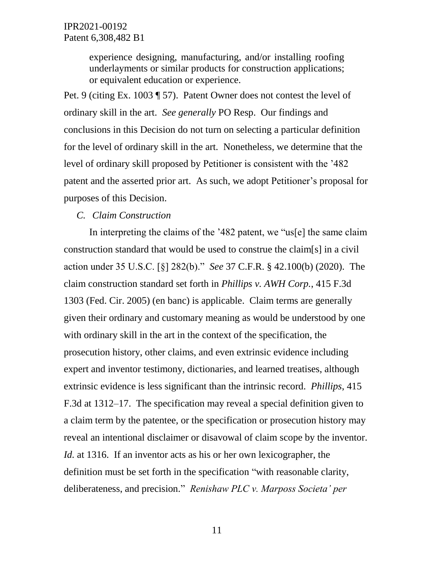experience designing, manufacturing, and/or installing roofing underlayments or similar products for construction applications; or equivalent education or experience.

Pet. 9 (citing Ex. 1003 ¶ 57). Patent Owner does not contest the level of ordinary skill in the art. *See generally* PO Resp. Our findings and conclusions in this Decision do not turn on selecting a particular definition for the level of ordinary skill in the art. Nonetheless, we determine that the level of ordinary skill proposed by Petitioner is consistent with the '482 patent and the asserted prior art. As such, we adopt Petitioner's proposal for purposes of this Decision.

#### *C. Claim Construction*

In interpreting the claims of the '482 patent, we "us[e] the same claim construction standard that would be used to construe the claim[s] in a civil action under 35 U.S.C. [§] 282(b)." *See* 37 C.F.R. § 42.100(b) (2020). The claim construction standard set forth in *Phillips v. AWH Corp.*, 415 F.3d 1303 (Fed. Cir. 2005) (en banc) is applicable. Claim terms are generally given their ordinary and customary meaning as would be understood by one with ordinary skill in the art in the context of the specification, the prosecution history, other claims, and even extrinsic evidence including expert and inventor testimony, dictionaries, and learned treatises, although extrinsic evidence is less significant than the intrinsic record. *Phillips*, 415 F.3d at 1312–17. The specification may reveal a special definition given to a claim term by the patentee, or the specification or prosecution history may reveal an intentional disclaimer or disavowal of claim scope by the inventor. *Id.* at 1316. If an inventor acts as his or her own lexicographer, the definition must be set forth in the specification "with reasonable clarity, deliberateness, and precision." *Renishaw PLC v. Marposs Societa' per*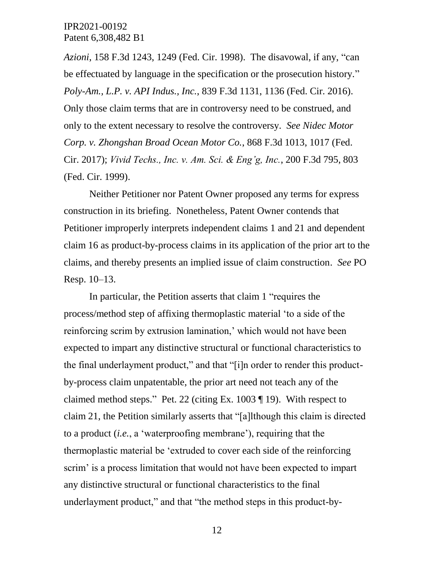*Azioni*, 158 F.3d 1243, 1249 (Fed. Cir. 1998). The disavowal, if any, "can be effectuated by language in the specification or the prosecution history." *Poly-Am., L.P. v. API Indus., Inc.*, 839 F.3d 1131, 1136 (Fed. Cir. 2016). Only those claim terms that are in controversy need to be construed, and only to the extent necessary to resolve the controversy. *See Nidec Motor Corp. v. Zhongshan Broad Ocean Motor Co.*, 868 F.3d 1013, 1017 (Fed. Cir. 2017); *Vivid Techs., Inc. v. Am. Sci. & Eng'g, Inc.*, 200 F.3d 795, 803 (Fed. Cir. 1999).

Neither Petitioner nor Patent Owner proposed any terms for express construction in its briefing. Nonetheless, Patent Owner contends that Petitioner improperly interprets independent claims 1 and 21 and dependent claim 16 as product-by-process claims in its application of the prior art to the claims, and thereby presents an implied issue of claim construction. *See* PO Resp. 10–13.

In particular, the Petition asserts that claim 1 "requires the process/method step of affixing thermoplastic material 'to a side of the reinforcing scrim by extrusion lamination,' which would not have been expected to impart any distinctive structural or functional characteristics to the final underlayment product," and that "[i]n order to render this productby-process claim unpatentable, the prior art need not teach any of the claimed method steps." Pet. 22 (citing Ex. 1003 ¶ 19). With respect to claim 21, the Petition similarly asserts that "[a]lthough this claim is directed to a product (*i.e.*, a 'waterproofing membrane'), requiring that the thermoplastic material be 'extruded to cover each side of the reinforcing scrim' is a process limitation that would not have been expected to impart any distinctive structural or functional characteristics to the final underlayment product," and that "the method steps in this product-by-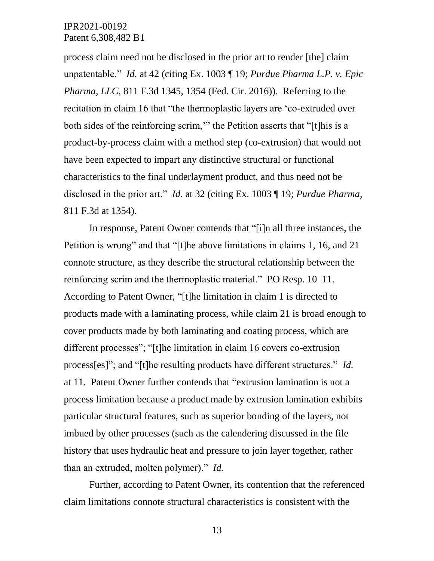process claim need not be disclosed in the prior art to render [the] claim unpatentable." *Id.* at 42 (citing Ex. 1003 ¶ 19; *Purdue Pharma L.P. v. Epic Pharma, LLC*, 811 F.3d 1345, 1354 (Fed. Cir. 2016)). Referring to the recitation in claim 16 that "the thermoplastic layers are 'co-extruded over both sides of the reinforcing scrim,'" the Petition asserts that "[t]his is a product-by-process claim with a method step (co-extrusion) that would not have been expected to impart any distinctive structural or functional characteristics to the final underlayment product, and thus need not be disclosed in the prior art." *Id.* at 32 (citing Ex. 1003 ¶ 19; *Purdue Pharma*, 811 F.3d at 1354).

In response, Patent Owner contends that "[i]n all three instances, the Petition is wrong" and that "[t]he above limitations in claims 1, 16, and 21 connote structure, as they describe the structural relationship between the reinforcing scrim and the thermoplastic material." PO Resp. 10–11. According to Patent Owner, "[t]he limitation in claim 1 is directed to products made with a laminating process, while claim 21 is broad enough to cover products made by both laminating and coating process, which are different processes"; "[t]he limitation in claim 16 covers co-extrusion process[es]"; and "[t]he resulting products have different structures." *Id.* at 11. Patent Owner further contends that "extrusion lamination is not a process limitation because a product made by extrusion lamination exhibits particular structural features, such as superior bonding of the layers, not imbued by other processes (such as the calendering discussed in the file history that uses hydraulic heat and pressure to join layer together, rather than an extruded, molten polymer)." *Id.*

Further, according to Patent Owner, its contention that the referenced claim limitations connote structural characteristics is consistent with the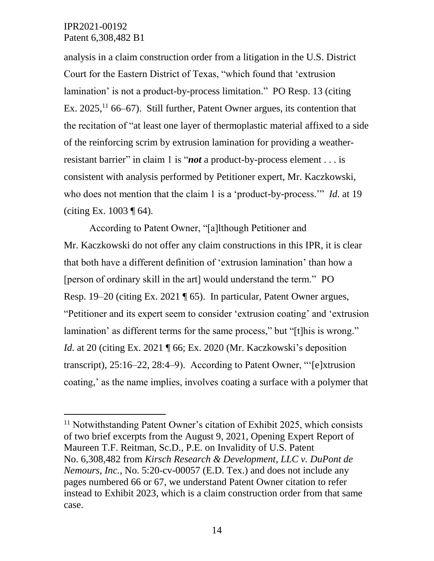l

analysis in a claim construction order from a litigation in the U.S. District Court for the Eastern District of Texas, "which found that 'extrusion lamination' is not a product-by-process limitation." PO Resp. 13 (citing Ex. 2025,<sup>11</sup> 66–67). Still further, Patent Owner argues, its contention that the recitation of "at least one layer of thermoplastic material affixed to a side of the reinforcing scrim by extrusion lamination for providing a weatherresistant barrier" in claim 1 is "*not* a product-by-process element . . . is consistent with analysis performed by Petitioner expert, Mr. Kaczkowski, who does not mention that the claim 1 is a 'product-by-process.'" *Id.* at 19 (citing Ex.  $1003 \text{ }\mathsf{F}$  64).

According to Patent Owner, "[a]lthough Petitioner and Mr. Kaczkowski do not offer any claim constructions in this IPR, it is clear that both have a different definition of 'extrusion lamination' than how a [person of ordinary skill in the art] would understand the term." PO Resp. 19–20 (citing Ex. 2021 ¶ 65). In particular, Patent Owner argues, "Petitioner and its expert seem to consider 'extrusion coating' and 'extrusion lamination' as different terms for the same process," but "[t]his is wrong." *Id.* at 20 (citing Ex. 2021 ¶ 66; Ex. 2020 (Mr. Kaczkowski's deposition transcript), 25:16–22, 28:4–9). According to Patent Owner, "'[e]xtrusion coating,' as the name implies, involves coating a surface with a polymer that

 $11$  Notwithstanding Patent Owner's citation of Exhibit 2025, which consists of two brief excerpts from the August 9, 2021, Opening Expert Report of Maureen T.F. Reitman, Sc.D., P.E. on Invalidity of U.S. Patent No. 6,308,482 from *Kirsch Research & Development, LLC v. DuPont de Nemours, Inc.*, No. 5:20-cv-00057 (E.D. Tex.) and does not include any pages numbered 66 or 67, we understand Patent Owner citation to refer instead to Exhibit 2023, which is a claim construction order from that same case.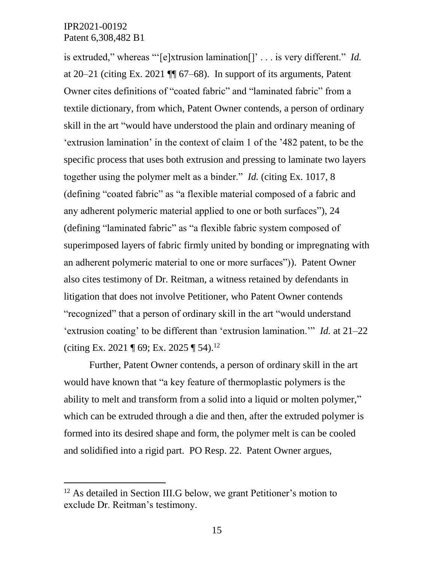$\overline{a}$ 

is extruded," whereas "'[e]xtrusion lamination[]' . . . is very different." *Id.* at 20–21 (citing Ex. 2021 ¶¶ 67–68). In support of its arguments, Patent Owner cites definitions of "coated fabric" and "laminated fabric" from a textile dictionary, from which, Patent Owner contends, a person of ordinary skill in the art "would have understood the plain and ordinary meaning of 'extrusion lamination' in the context of claim 1 of the '482 patent, to be the specific process that uses both extrusion and pressing to laminate two layers together using the polymer melt as a binder." *Id.* (citing Ex. 1017, 8 (defining "coated fabric" as "a flexible material composed of a fabric and any adherent polymeric material applied to one or both surfaces"), 24 (defining "laminated fabric" as "a flexible fabric system composed of superimposed layers of fabric firmly united by bonding or impregnating with an adherent polymeric material to one or more surfaces")). Patent Owner also cites testimony of Dr. Reitman, a witness retained by defendants in litigation that does not involve Petitioner, who Patent Owner contends "recognized" that a person of ordinary skill in the art "would understand 'extrusion coating' to be different than 'extrusion lamination.'" *Id.* at 21–22 (citing Ex. 2021 ¶ 69; Ex. 2025 ¶ 54). 12

Further, Patent Owner contends, a person of ordinary skill in the art would have known that "a key feature of thermoplastic polymers is the ability to melt and transform from a solid into a liquid or molten polymer," which can be extruded through a die and then, after the extruded polymer is formed into its desired shape and form, the polymer melt is can be cooled and solidified into a rigid part. PO Resp. 22. Patent Owner argues,

<sup>&</sup>lt;sup>12</sup> As detailed in Section III.G below, we grant Petitioner's motion to exclude Dr. Reitman's testimony.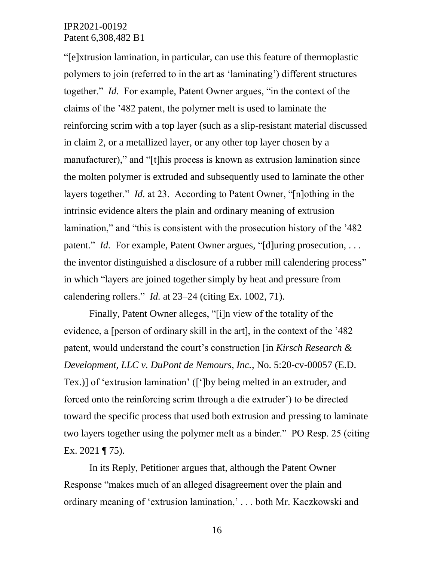"[e]xtrusion lamination, in particular, can use this feature of thermoplastic polymers to join (referred to in the art as 'laminating') different structures together." *Id.* For example, Patent Owner argues, "in the context of the claims of the '482 patent, the polymer melt is used to laminate the reinforcing scrim with a top layer (such as a slip-resistant material discussed in claim 2, or a metallized layer, or any other top layer chosen by a manufacturer)," and "[t]his process is known as extrusion lamination since the molten polymer is extruded and subsequently used to laminate the other layers together." *Id.* at 23. According to Patent Owner, "[n]othing in the intrinsic evidence alters the plain and ordinary meaning of extrusion lamination," and "this is consistent with the prosecution history of the '482 patent." *Id.* For example, Patent Owner argues, "[d]uring prosecution, ... the inventor distinguished a disclosure of a rubber mill calendering process" in which "layers are joined together simply by heat and pressure from calendering rollers." *Id.* at 23–24 (citing Ex. 1002, 71).

Finally, Patent Owner alleges, "[i]n view of the totality of the evidence, a [person of ordinary skill in the art], in the context of the '482 patent, would understand the court's construction [in *Kirsch Research & Development, LLC v. DuPont de Nemours, Inc.*, No. 5:20-cv-00057 (E.D. Tex.)] of 'extrusion lamination' ([']by being melted in an extruder, and forced onto the reinforcing scrim through a die extruder') to be directed toward the specific process that used both extrusion and pressing to laminate two layers together using the polymer melt as a binder." PO Resp. 25 (citing Ex. 2021 ¶ 75).

In its Reply, Petitioner argues that, although the Patent Owner Response "makes much of an alleged disagreement over the plain and ordinary meaning of 'extrusion lamination,' . . . both Mr. Kaczkowski and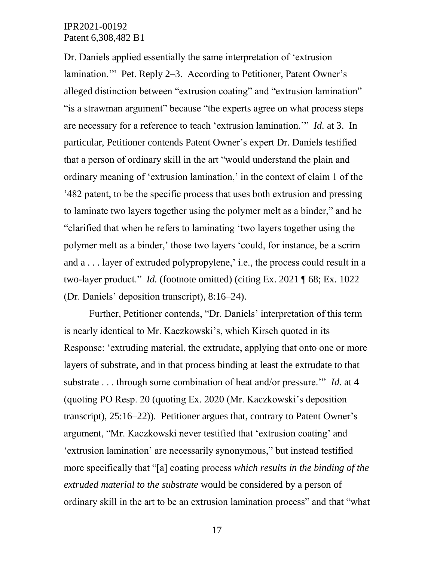Dr. Daniels applied essentially the same interpretation of 'extrusion lamination." Pet. Reply 2–3. According to Petitioner, Patent Owner's alleged distinction between "extrusion coating" and "extrusion lamination" "is a strawman argument" because "the experts agree on what process steps are necessary for a reference to teach 'extrusion lamination.'" *Id.* at 3. In particular, Petitioner contends Patent Owner's expert Dr. Daniels testified that a person of ordinary skill in the art "would understand the plain and ordinary meaning of 'extrusion lamination,' in the context of claim 1 of the '482 patent, to be the specific process that uses both extrusion and pressing to laminate two layers together using the polymer melt as a binder," and he "clarified that when he refers to laminating 'two layers together using the polymer melt as a binder,' those two layers 'could, for instance, be a scrim and a . . . layer of extruded polypropylene,' i.e., the process could result in a two-layer product." *Id.* (footnote omitted) (citing Ex. 2021 ¶ 68; Ex. 1022 (Dr. Daniels' deposition transcript), 8:16–24).

Further, Petitioner contends, "Dr. Daniels' interpretation of this term is nearly identical to Mr. Kaczkowski's, which Kirsch quoted in its Response: 'extruding material, the extrudate, applying that onto one or more layers of substrate, and in that process binding at least the extrudate to that substrate . . . through some combination of heat and/or pressure.'" *Id.* at 4 (quoting PO Resp. 20 (quoting Ex. 2020 (Mr. Kaczkowski's deposition transcript), 25:16–22)). Petitioner argues that, contrary to Patent Owner's argument, "Mr. Kaczkowski never testified that 'extrusion coating' and 'extrusion lamination' are necessarily synonymous," but instead testified more specifically that "[a] coating process *which results in the binding of the extruded material to the substrate* would be considered by a person of ordinary skill in the art to be an extrusion lamination process" and that "what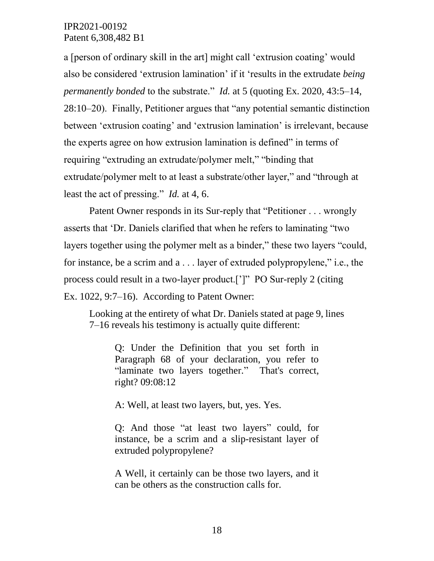a [person of ordinary skill in the art] might call 'extrusion coating' would also be considered 'extrusion lamination' if it 'results in the extrudate *being permanently bonded* to the substrate." *Id.* at 5 (quoting Ex. 2020, 43:5–14, 28:10–20). Finally, Petitioner argues that "any potential semantic distinction between 'extrusion coating' and 'extrusion lamination' is irrelevant, because the experts agree on how extrusion lamination is defined" in terms of requiring "extruding an extrudate/polymer melt," "binding that extrudate/polymer melt to at least a substrate/other layer," and "through at least the act of pressing." *Id.* at 4, 6.

Patent Owner responds in its Sur-reply that "Petitioner . . . wrongly asserts that 'Dr. Daniels clarified that when he refers to laminating "two layers together using the polymer melt as a binder," these two layers "could, for instance, be a scrim and a . . . layer of extruded polypropylene," i.e., the process could result in a two-layer product.[']" PO Sur-reply 2 (citing Ex. 1022, 9:7–16). According to Patent Owner:

Looking at the entirety of what Dr. Daniels stated at page 9, lines 7–16 reveals his testimony is actually quite different:

Q: Under the Definition that you set forth in Paragraph 68 of your declaration, you refer to "laminate two layers together." That's correct, right? 09:08:12

A: Well, at least two layers, but, yes. Yes.

Q: And those "at least two layers" could, for instance, be a scrim and a slip-resistant layer of extruded polypropylene?

A Well, it certainly can be those two layers, and it can be others as the construction calls for.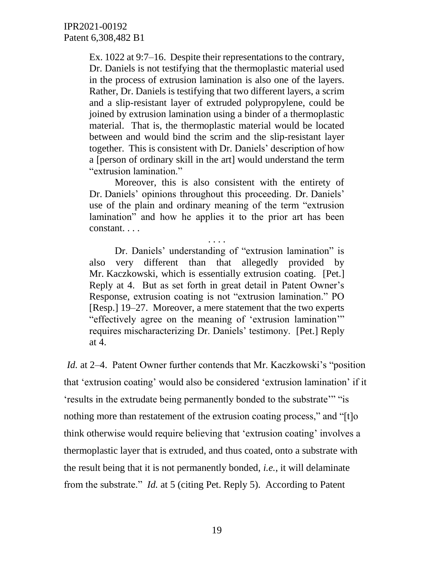Ex. 1022 at 9:7–16. Despite their representations to the contrary, Dr. Daniels is not testifying that the thermoplastic material used in the process of extrusion lamination is also one of the layers. Rather, Dr. Daniels is testifying that two different layers, a scrim and a slip-resistant layer of extruded polypropylene, could be joined by extrusion lamination using a binder of a thermoplastic material. That is, the thermoplastic material would be located between and would bind the scrim and the slip-resistant layer together. This is consistent with Dr. Daniels' description of how a [person of ordinary skill in the art] would understand the term "extrusion lamination."

Moreover, this is also consistent with the entirety of Dr. Daniels' opinions throughout this proceeding. Dr. Daniels' use of the plain and ordinary meaning of the term "extrusion lamination" and how he applies it to the prior art has been constant. . . .

. . . .

Dr. Daniels' understanding of "extrusion lamination" is also very different than that allegedly provided by Mr. Kaczkowski, which is essentially extrusion coating. [Pet.] Reply at 4. But as set forth in great detail in Patent Owner's Response, extrusion coating is not "extrusion lamination." PO [Resp.] 19–27. Moreover, a mere statement that the two experts "effectively agree on the meaning of 'extrusion lamination'" requires mischaracterizing Dr. Daniels' testimony. [Pet.] Reply at 4.

*Id.* at 2–4. Patent Owner further contends that Mr. Kaczkowski's "position" that 'extrusion coating' would also be considered 'extrusion lamination' if it 'results in the extrudate being permanently bonded to the substrate'" "is nothing more than restatement of the extrusion coating process," and "[t]o think otherwise would require believing that 'extrusion coating' involves a thermoplastic layer that is extruded, and thus coated, onto a substrate with the result being that it is not permanently bonded, *i.e.*, it will delaminate from the substrate." *Id.* at 5 (citing Pet. Reply 5). According to Patent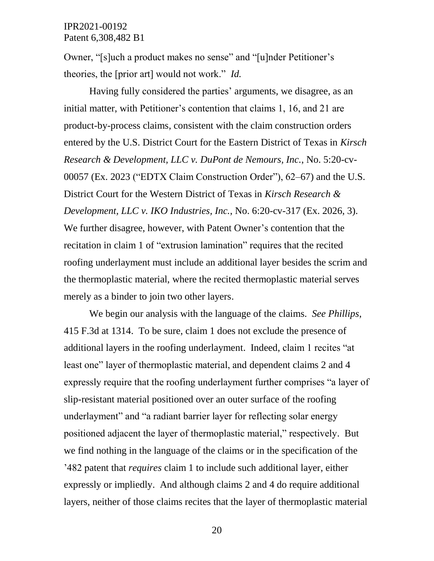Owner, "[s]uch a product makes no sense" and "[u]nder Petitioner's theories, the [prior art] would not work." *Id.*

Having fully considered the parties' arguments, we disagree, as an initial matter, with Petitioner's contention that claims 1, 16, and 21 are product-by-process claims, consistent with the claim construction orders entered by the U.S. District Court for the Eastern District of Texas in *Kirsch Research & Development, LLC v. DuPont de Nemours, Inc.*, No. 5:20-cv-00057 (Ex. 2023 ("EDTX Claim Construction Order"), 62–67) and the U.S. District Court for the Western District of Texas in *Kirsch Research & Development, LLC v. IKO Industries, Inc.*, No. 6:20-cv-317 (Ex. 2026, 3). We further disagree, however, with Patent Owner's contention that the recitation in claim 1 of "extrusion lamination" requires that the recited roofing underlayment must include an additional layer besides the scrim and the thermoplastic material, where the recited thermoplastic material serves merely as a binder to join two other layers.

We begin our analysis with the language of the claims. *See Phillips*, 415 F.3d at 1314. To be sure, claim 1 does not exclude the presence of additional layers in the roofing underlayment. Indeed, claim 1 recites "at least one" layer of thermoplastic material, and dependent claims 2 and 4 expressly require that the roofing underlayment further comprises "a layer of slip-resistant material positioned over an outer surface of the roofing underlayment" and "a radiant barrier layer for reflecting solar energy positioned adjacent the layer of thermoplastic material," respectively. But we find nothing in the language of the claims or in the specification of the '482 patent that *requires* claim 1 to include such additional layer, either expressly or impliedly. And although claims 2 and 4 do require additional layers, neither of those claims recites that the layer of thermoplastic material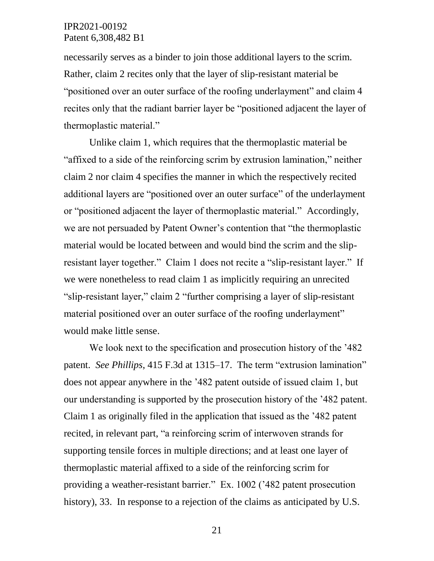necessarily serves as a binder to join those additional layers to the scrim. Rather, claim 2 recites only that the layer of slip-resistant material be "positioned over an outer surface of the roofing underlayment" and claim 4 recites only that the radiant barrier layer be "positioned adjacent the layer of thermoplastic material."

Unlike claim 1, which requires that the thermoplastic material be "affixed to a side of the reinforcing scrim by extrusion lamination," neither claim 2 nor claim 4 specifies the manner in which the respectively recited additional layers are "positioned over an outer surface" of the underlayment or "positioned adjacent the layer of thermoplastic material." Accordingly, we are not persuaded by Patent Owner's contention that "the thermoplastic material would be located between and would bind the scrim and the slipresistant layer together." Claim 1 does not recite a "slip-resistant layer." If we were nonetheless to read claim 1 as implicitly requiring an unrecited "slip-resistant layer," claim 2 "further comprising a layer of slip-resistant material positioned over an outer surface of the roofing underlayment" would make little sense.

We look next to the specification and prosecution history of the '482 patent. *See Phillips*, 415 F.3d at 1315–17. The term "extrusion lamination" does not appear anywhere in the '482 patent outside of issued claim 1, but our understanding is supported by the prosecution history of the '482 patent. Claim 1 as originally filed in the application that issued as the '482 patent recited, in relevant part, "a reinforcing scrim of interwoven strands for supporting tensile forces in multiple directions; and at least one layer of thermoplastic material affixed to a side of the reinforcing scrim for providing a weather-resistant barrier." Ex. 1002 ('482 patent prosecution history), 33. In response to a rejection of the claims as anticipated by U.S.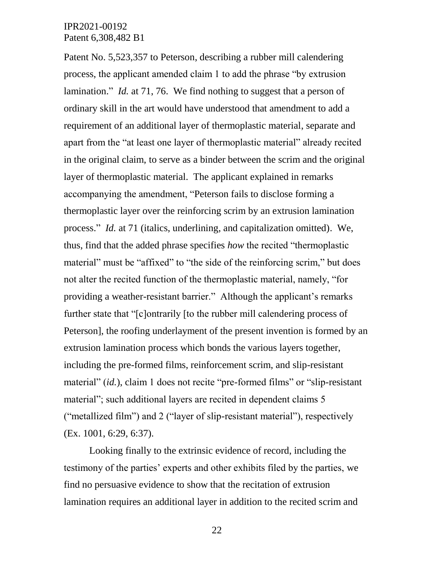Patent No. 5,523,357 to Peterson, describing a rubber mill calendering process, the applicant amended claim 1 to add the phrase "by extrusion lamination." *Id.* at 71, 76. We find nothing to suggest that a person of ordinary skill in the art would have understood that amendment to add a requirement of an additional layer of thermoplastic material, separate and apart from the "at least one layer of thermoplastic material" already recited in the original claim, to serve as a binder between the scrim and the original layer of thermoplastic material. The applicant explained in remarks accompanying the amendment, "Peterson fails to disclose forming a thermoplastic layer over the reinforcing scrim by an extrusion lamination process." *Id.* at 71 (italics, underlining, and capitalization omitted). We, thus, find that the added phrase specifies *how* the recited "thermoplastic material" must be "affixed" to "the side of the reinforcing scrim," but does not alter the recited function of the thermoplastic material, namely, "for providing a weather-resistant barrier." Although the applicant's remarks further state that "[c]ontrarily [to the rubber mill calendering process of Peterson], the roofing underlayment of the present invention is formed by an extrusion lamination process which bonds the various layers together, including the pre-formed films, reinforcement scrim, and slip-resistant material" *(id.)*, claim 1 does not recite "pre-formed films" or "slip-resistant" material"; such additional layers are recited in dependent claims 5 ("metallized film") and 2 ("layer of slip-resistant material"), respectively (Ex. 1001, 6:29, 6:37).

Looking finally to the extrinsic evidence of record, including the testimony of the parties' experts and other exhibits filed by the parties, we find no persuasive evidence to show that the recitation of extrusion lamination requires an additional layer in addition to the recited scrim and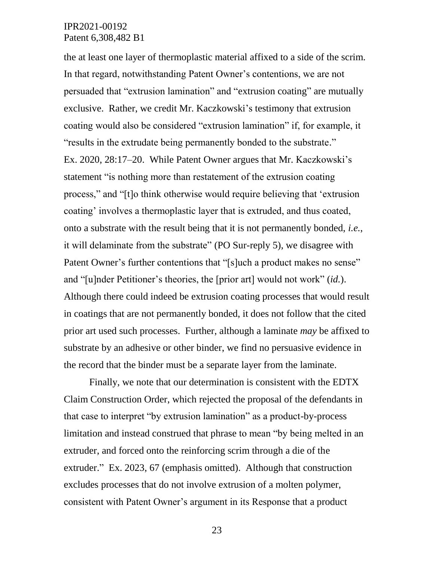the at least one layer of thermoplastic material affixed to a side of the scrim. In that regard, notwithstanding Patent Owner's contentions, we are not persuaded that "extrusion lamination" and "extrusion coating" are mutually exclusive. Rather, we credit Mr. Kaczkowski's testimony that extrusion coating would also be considered "extrusion lamination" if, for example, it "results in the extrudate being permanently bonded to the substrate." Ex. 2020, 28:17–20. While Patent Owner argues that Mr. Kaczkowski's statement "is nothing more than restatement of the extrusion coating process," and "[t]o think otherwise would require believing that 'extrusion coating' involves a thermoplastic layer that is extruded, and thus coated, onto a substrate with the result being that it is not permanently bonded, *i.e.*, it will delaminate from the substrate" (PO Sur-reply 5), we disagree with Patent Owner's further contentions that "[s]uch a product makes no sense" and "[u]nder Petitioner's theories, the [prior art] would not work" (*id.*). Although there could indeed be extrusion coating processes that would result in coatings that are not permanently bonded, it does not follow that the cited prior art used such processes. Further, although a laminate *may* be affixed to substrate by an adhesive or other binder, we find no persuasive evidence in the record that the binder must be a separate layer from the laminate.

Finally, we note that our determination is consistent with the EDTX Claim Construction Order, which rejected the proposal of the defendants in that case to interpret "by extrusion lamination" as a product-by-process limitation and instead construed that phrase to mean "by being melted in an extruder, and forced onto the reinforcing scrim through a die of the extruder." Ex. 2023, 67 (emphasis omitted). Although that construction excludes processes that do not involve extrusion of a molten polymer, consistent with Patent Owner's argument in its Response that a product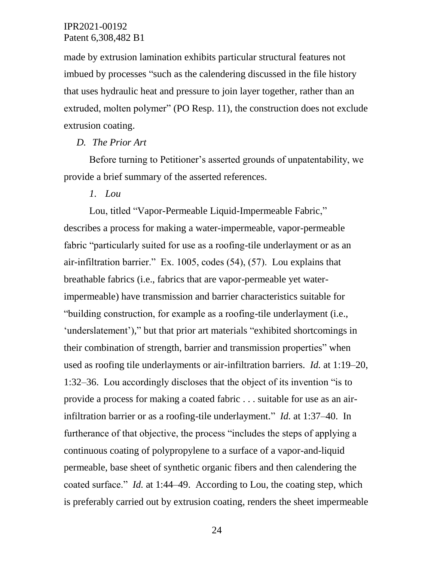made by extrusion lamination exhibits particular structural features not imbued by processes "such as the calendering discussed in the file history that uses hydraulic heat and pressure to join layer together, rather than an extruded, molten polymer" (PO Resp. 11), the construction does not exclude extrusion coating.

#### *D. The Prior Art*

Before turning to Petitioner's asserted grounds of unpatentability, we provide a brief summary of the asserted references.

#### *1. Lou*

Lou, titled "Vapor-Permeable Liquid-Impermeable Fabric," describes a process for making a water-impermeable, vapor-permeable fabric "particularly suited for use as a roofing-tile underlayment or as an air-infiltration barrier." Ex. 1005, codes (54), (57). Lou explains that breathable fabrics (i.e., fabrics that are vapor-permeable yet waterimpermeable) have transmission and barrier characteristics suitable for "building construction, for example as a roofing-tile underlayment (i.e., 'underslatement')," but that prior art materials "exhibited shortcomings in their combination of strength, barrier and transmission properties" when used as roofing tile underlayments or air-infiltration barriers. *Id.* at 1:19–20, 1:32–36. Lou accordingly discloses that the object of its invention "is to provide a process for making a coated fabric . . . suitable for use as an airinfiltration barrier or as a roofing-tile underlayment." *Id.* at 1:37–40. In furtherance of that objective, the process "includes the steps of applying a continuous coating of polypropylene to a surface of a vapor-and-liquid permeable, base sheet of synthetic organic fibers and then calendering the coated surface." *Id.* at 1:44–49. According to Lou, the coating step, which is preferably carried out by extrusion coating, renders the sheet impermeable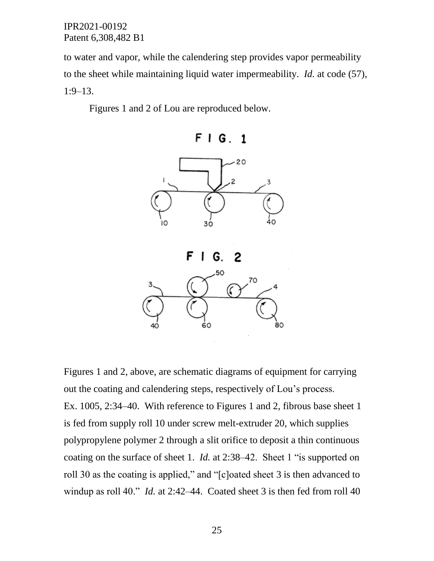to water and vapor, while the calendering step provides vapor permeability to the sheet while maintaining liquid water impermeability. *Id.* at code (57), 1:9–13.

Figures 1 and 2 of Lou are reproduced below.



Figures 1 and 2, above, are schematic diagrams of equipment for carrying out the coating and calendering steps, respectively of Lou's process. Ex. 1005, 2:34–40. With reference to Figures 1 and 2, fibrous base sheet 1 is fed from supply roll 10 under screw melt-extruder 20, which supplies polypropylene polymer 2 through a slit orifice to deposit a thin continuous coating on the surface of sheet 1. *Id.* at 2:38–42. Sheet 1 "is supported on roll 30 as the coating is applied," and "[c]oated sheet 3 is then advanced to windup as roll 40." *Id.* at 2:42–44. Coated sheet 3 is then fed from roll 40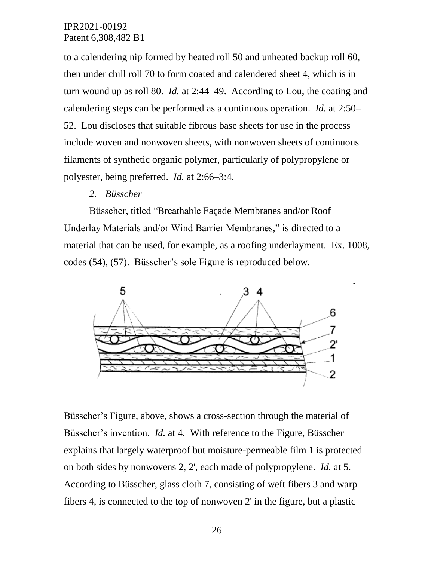to a calendering nip formed by heated roll 50 and unheated backup roll 60, then under chill roll 70 to form coated and calendered sheet 4, which is in turn wound up as roll 80. *Id.* at 2:44–49. According to Lou, the coating and calendering steps can be performed as a continuous operation. *Id.* at 2:50– 52. Lou discloses that suitable fibrous base sheets for use in the process include woven and nonwoven sheets, with nonwoven sheets of continuous filaments of synthetic organic polymer, particularly of polypropylene or polyester, being preferred. *Id.* at 2:66–3:4.

#### *2. Büsscher*

Büsscher, titled "Breathable Façade Membranes and/or Roof Underlay Materials and/or Wind Barrier Membranes," is directed to a material that can be used, for example, as a roofing underlayment. Ex. 1008, codes (54), (57). Büsscher's sole Figure is reproduced below.



Büsscher's Figure, above, shows a cross-section through the material of Büsscher's invention. *Id.* at 4. With reference to the Figure, Büsscher explains that largely waterproof but moisture-permeable film 1 is protected on both sides by nonwovens 2, 2', each made of polypropylene. *Id.* at 5. According to Büsscher, glass cloth 7, consisting of weft fibers 3 and warp fibers 4, is connected to the top of nonwoven 2' in the figure, but a plastic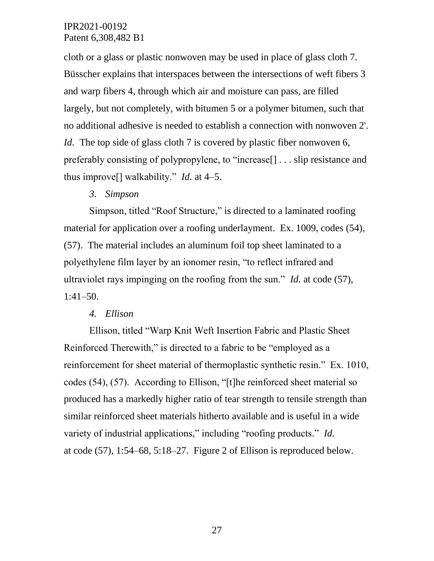cloth or a glass or plastic nonwoven may be used in place of glass cloth 7. Büsscher explains that interspaces between the intersections of weft fibers 3 and warp fibers 4, through which air and moisture can pass, are filled largely, but not completely, with bitumen 5 or a polymer bitumen, such that no additional adhesive is needed to establish a connection with nonwoven 2'. *Id.* The top side of glass cloth 7 is covered by plastic fiber nonwoven 6, preferably consisting of polypropylene, to "increase[] . . . slip resistance and thus improve[] walkability." *Id.* at 4–5.

# *3. Simpson*

Simpson, titled "Roof Structure," is directed to a laminated roofing material for application over a roofing underlayment. Ex. 1009, codes (54), (57). The material includes an aluminum foil top sheet laminated to a polyethylene film layer by an ionomer resin, "to reflect infrared and ultraviolet rays impinging on the roofing from the sun." *Id.* at code (57), 1:41–50.

#### *4. Ellison*

Ellison, titled "Warp Knit Weft Insertion Fabric and Plastic Sheet Reinforced Therewith," is directed to a fabric to be "employed as a reinforcement for sheet material of thermoplastic synthetic resin." Ex. 1010, codes (54), (57). According to Ellison, "[t]he reinforced sheet material so produced has a markedly higher ratio of tear strength to tensile strength than similar reinforced sheet materials hitherto available and is useful in a wide variety of industrial applications," including "roofing products." *Id.* at code (57), 1:54–68, 5:18–27. Figure 2 of Ellison is reproduced below.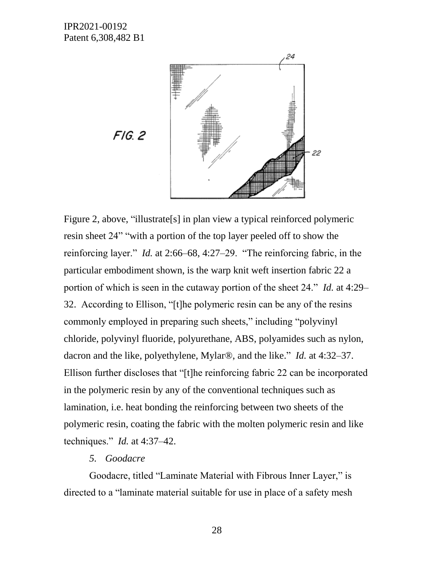

Figure 2, above, "illustrate[s] in plan view a typical reinforced polymeric resin sheet 24" "with a portion of the top layer peeled off to show the reinforcing layer." *Id.* at 2:66–68, 4:27–29. "The reinforcing fabric, in the particular embodiment shown, is the warp knit weft insertion fabric 22 a portion of which is seen in the cutaway portion of the sheet 24." *Id.* at 4:29– 32. According to Ellison, "[t]he polymeric resin can be any of the resins commonly employed in preparing such sheets," including "polyvinyl chloride, polyvinyl fluoride, polyurethane, ABS, polyamides such as nylon, dacron and the like, polyethylene, Mylar®, and the like." *Id.* at 4:32–37. Ellison further discloses that "[t]he reinforcing fabric 22 can be incorporated in the polymeric resin by any of the conventional techniques such as lamination, i.e. heat bonding the reinforcing between two sheets of the polymeric resin, coating the fabric with the molten polymeric resin and like techniques." *Id.* at 4:37–42.

#### *5. Goodacre*

Goodacre, titled "Laminate Material with Fibrous Inner Layer," is directed to a "laminate material suitable for use in place of a safety mesh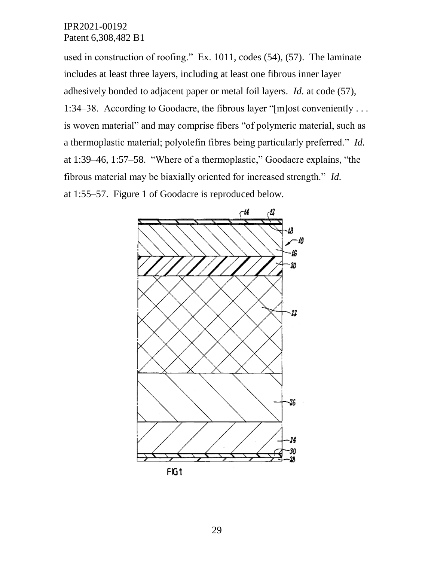used in construction of roofing." Ex. 1011, codes (54), (57). The laminate includes at least three layers, including at least one fibrous inner layer adhesively bonded to adjacent paper or metal foil layers. *Id.* at code (57), 1:34–38. According to Goodacre, the fibrous layer "[m]ost conveniently . . . is woven material" and may comprise fibers "of polymeric material, such as a thermoplastic material; polyolefin fibres being particularly preferred." *Id.* at 1:39–46, 1:57–58. "Where of a thermoplastic," Goodacre explains, "the fibrous material may be biaxially oriented for increased strength." *Id.* at 1:55–57. Figure 1 of Goodacre is reproduced below.



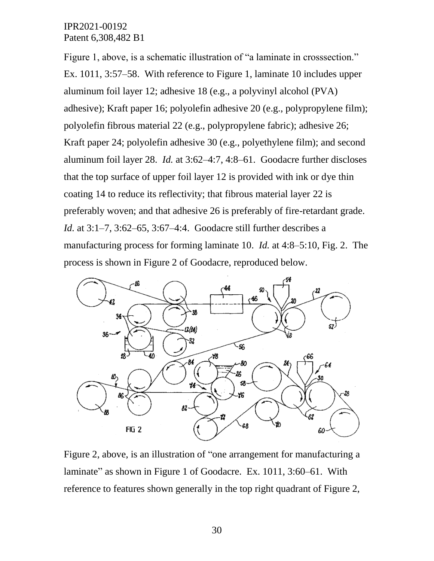Figure 1, above, is a schematic illustration of "a laminate in crosssection." Ex. 1011, 3:57–58. With reference to Figure 1, laminate 10 includes upper aluminum foil layer 12; adhesive 18 (e.g., a polyvinyl alcohol (PVA) adhesive); Kraft paper 16; polyolefin adhesive 20 (e.g., polypropylene film); polyolefin fibrous material 22 (e.g., polypropylene fabric); adhesive 26; Kraft paper 24; polyolefin adhesive 30 (e.g., polyethylene film); and second aluminum foil layer 28. *Id.* at 3:62–4:7, 4:8–61. Goodacre further discloses that the top surface of upper foil layer 12 is provided with ink or dye thin coating 14 to reduce its reflectivity; that fibrous material layer 22 is preferably woven; and that adhesive 26 is preferably of fire-retardant grade. *Id.* at 3:1–7, 3:62–65, 3:67–4:4. Goodacre still further describes a manufacturing process for forming laminate 10. *Id.* at 4:8–5:10, Fig. 2. The process is shown in Figure 2 of Goodacre, reproduced below.



Figure 2, above, is an illustration of "one arrangement for manufacturing a laminate" as shown in Figure 1 of Goodacre. Ex. 1011, 3:60–61. With reference to features shown generally in the top right quadrant of Figure 2,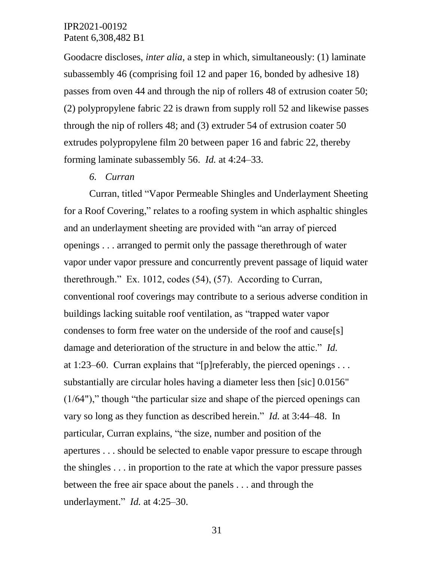Goodacre discloses, *inter alia*, a step in which, simultaneously: (1) laminate subassembly 46 (comprising foil 12 and paper 16, bonded by adhesive 18) passes from oven 44 and through the nip of rollers 48 of extrusion coater 50; (2) polypropylene fabric 22 is drawn from supply roll 52 and likewise passes through the nip of rollers 48; and (3) extruder 54 of extrusion coater 50 extrudes polypropylene film 20 between paper 16 and fabric 22, thereby forming laminate subassembly 56. *Id.* at 4:24–33.

*6. Curran*

Curran, titled "Vapor Permeable Shingles and Underlayment Sheeting for a Roof Covering," relates to a roofing system in which asphaltic shingles and an underlayment sheeting are provided with "an array of pierced openings . . . arranged to permit only the passage therethrough of water vapor under vapor pressure and concurrently prevent passage of liquid water therethrough." Ex. 1012, codes (54), (57). According to Curran, conventional roof coverings may contribute to a serious adverse condition in buildings lacking suitable roof ventilation, as "trapped water vapor condenses to form free water on the underside of the roof and cause[s] damage and deterioration of the structure in and below the attic." *Id.* at 1:23–60. Curran explains that "[p]referably, the pierced openings  $\dots$ substantially are circular holes having a diameter less then [sic] 0.0156" (1/64")," though "the particular size and shape of the pierced openings can vary so long as they function as described herein." *Id.* at 3:44–48. In particular, Curran explains, "the size, number and position of the apertures . . . should be selected to enable vapor pressure to escape through the shingles . . . in proportion to the rate at which the vapor pressure passes between the free air space about the panels . . . and through the underlayment." *Id.* at 4:25–30.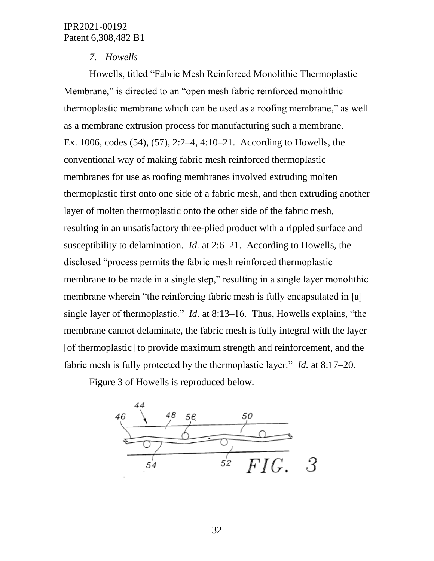# *7. Howells*

Howells, titled "Fabric Mesh Reinforced Monolithic Thermoplastic Membrane," is directed to an "open mesh fabric reinforced monolithic thermoplastic membrane which can be used as a roofing membrane," as well as a membrane extrusion process for manufacturing such a membrane. Ex. 1006, codes (54), (57), 2:2–4, 4:10–21. According to Howells, the conventional way of making fabric mesh reinforced thermoplastic membranes for use as roofing membranes involved extruding molten thermoplastic first onto one side of a fabric mesh, and then extruding another layer of molten thermoplastic onto the other side of the fabric mesh, resulting in an unsatisfactory three-plied product with a rippled surface and susceptibility to delamination. *Id.* at 2:6–21. According to Howells, the disclosed "process permits the fabric mesh reinforced thermoplastic membrane to be made in a single step," resulting in a single layer monolithic membrane wherein "the reinforcing fabric mesh is fully encapsulated in [a] single layer of thermoplastic." *Id.* at 8:13–16. Thus, Howells explains, "the membrane cannot delaminate, the fabric mesh is fully integral with the layer [of thermoplastic] to provide maximum strength and reinforcement, and the fabric mesh is fully protected by the thermoplastic layer." *Id.* at 8:17–20.

Figure 3 of Howells is reproduced below.

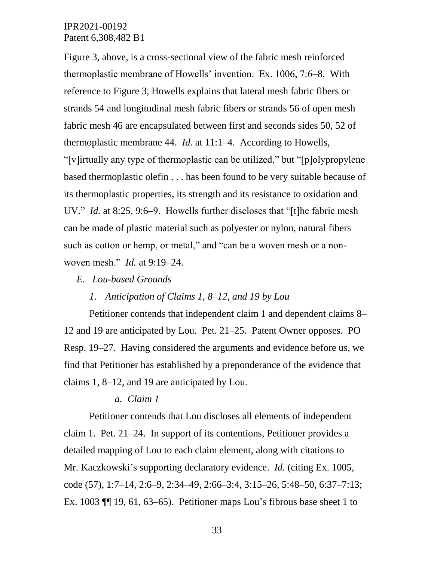Figure 3, above, is a cross-sectional view of the fabric mesh reinforced thermoplastic membrane of Howells' invention. Ex. 1006, 7:6–8. With reference to Figure 3, Howells explains that lateral mesh fabric fibers or strands 54 and longitudinal mesh fabric fibers or strands 56 of open mesh fabric mesh 46 are encapsulated between first and seconds sides 50, 52 of thermoplastic membrane 44. *Id.* at 11:1–4. According to Howells, "[v]irtually any type of thermoplastic can be utilized," but "[p]olypropylene based thermoplastic olefin . . . has been found to be very suitable because of its thermoplastic properties, its strength and its resistance to oxidation and UV." *Id.* at 8:25, 9:6–9. Howells further discloses that "[t]he fabric mesh can be made of plastic material such as polyester or nylon, natural fibers such as cotton or hemp, or metal," and "can be a woven mesh or a nonwoven mesh." *Id.* at 9:19–24.

#### *E. Lou-based Grounds*

#### *1. Anticipation of Claims 1, 8–12, and 19 by Lou*

Petitioner contends that independent claim 1 and dependent claims 8– 12 and 19 are anticipated by Lou. Pet. 21–25. Patent Owner opposes. PO Resp. 19–27. Having considered the arguments and evidence before us, we find that Petitioner has established by a preponderance of the evidence that claims 1, 8–12, and 19 are anticipated by Lou.

#### *a. Claim 1*

Petitioner contends that Lou discloses all elements of independent claim 1. Pet. 21–24. In support of its contentions, Petitioner provides a detailed mapping of Lou to each claim element, along with citations to Mr. Kaczkowski's supporting declaratory evidence. *Id.* (citing Ex. 1005, code (57), 1:7–14, 2:6–9, 2:34–49, 2:66–3:4, 3:15–26, 5:48–50, 6:37–7:13; Ex. 1003 ¶¶ 19, 61, 63–65). Petitioner maps Lou's fibrous base sheet 1 to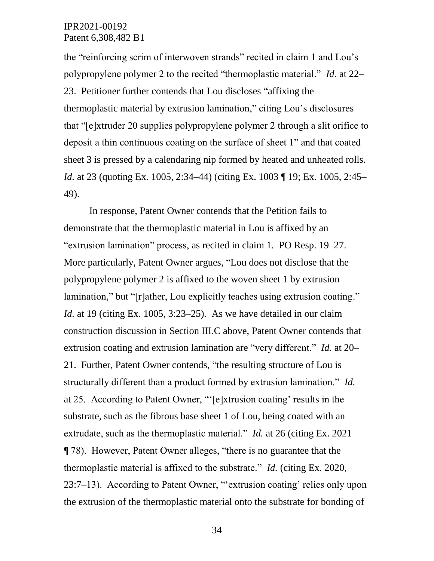the "reinforcing scrim of interwoven strands" recited in claim 1 and Lou's polypropylene polymer 2 to the recited "thermoplastic material." *Id.* at 22– 23. Petitioner further contends that Lou discloses "affixing the thermoplastic material by extrusion lamination," citing Lou's disclosures that "[e]xtruder 20 supplies polypropylene polymer 2 through a slit orifice to deposit a thin continuous coating on the surface of sheet 1" and that coated sheet 3 is pressed by a calendaring nip formed by heated and unheated rolls. *Id.* at 23 (quoting Ex. 1005, 2:34–44) (citing Ex. 1003 ¶ 19; Ex. 1005, 2:45– 49).

In response, Patent Owner contends that the Petition fails to demonstrate that the thermoplastic material in Lou is affixed by an "extrusion lamination" process, as recited in claim 1. PO Resp. 19–27. More particularly, Patent Owner argues, "Lou does not disclose that the polypropylene polymer 2 is affixed to the woven sheet 1 by extrusion lamination," but "[r]ather, Lou explicitly teaches using extrusion coating." *Id.* at 19 (citing Ex. 1005, 3:23–25). As we have detailed in our claim construction discussion in Section III.C above, Patent Owner contends that extrusion coating and extrusion lamination are "very different." *Id.* at 20– 21. Further, Patent Owner contends, "the resulting structure of Lou is structurally different than a product formed by extrusion lamination." *Id.* at 25. According to Patent Owner, "'[e]xtrusion coating' results in the substrate, such as the fibrous base sheet 1 of Lou, being coated with an extrudate, such as the thermoplastic material." *Id.* at 26 (citing Ex. 2021 ¶ 78). However, Patent Owner alleges, "there is no guarantee that the thermoplastic material is affixed to the substrate." *Id.* (citing Ex. 2020, 23:7–13). According to Patent Owner, "'extrusion coating' relies only upon the extrusion of the thermoplastic material onto the substrate for bonding of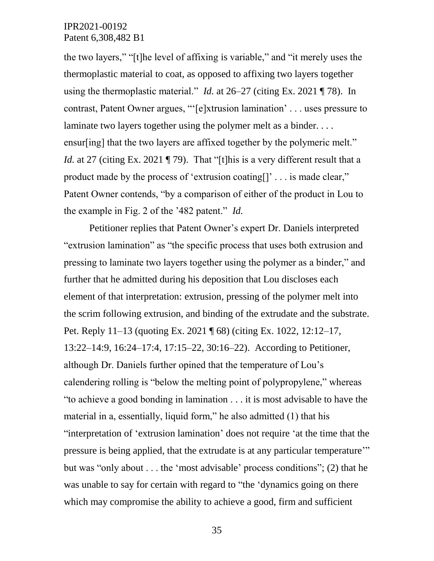the two layers," "[t]he level of affixing is variable," and "it merely uses the thermoplastic material to coat, as opposed to affixing two layers together using the thermoplastic material." *Id.* at 26–27 (citing Ex. 2021 ¶ 78). In contrast, Patent Owner argues, "'[e]xtrusion lamination' . . . uses pressure to laminate two layers together using the polymer melt as a binder.... ensur[ing] that the two layers are affixed together by the polymeric melt." *Id.* at 27 (citing Ex. 2021 ¶ 79). That "[t]his is a very different result that a product made by the process of 'extrusion coating[]' . . . is made clear," Patent Owner contends, "by a comparison of either of the product in Lou to the example in Fig. 2 of the '482 patent." *Id.*

Petitioner replies that Patent Owner's expert Dr. Daniels interpreted "extrusion lamination" as "the specific process that uses both extrusion and pressing to laminate two layers together using the polymer as a binder," and further that he admitted during his deposition that Lou discloses each element of that interpretation: extrusion, pressing of the polymer melt into the scrim following extrusion, and binding of the extrudate and the substrate. Pet. Reply 11–13 (quoting Ex. 2021 ¶ 68) (citing Ex. 1022, 12:12–17, 13:22–14:9, 16:24–17:4, 17:15–22, 30:16–22). According to Petitioner, although Dr. Daniels further opined that the temperature of Lou's calendering rolling is "below the melting point of polypropylene," whereas "to achieve a good bonding in lamination . . . it is most advisable to have the material in a, essentially, liquid form," he also admitted (1) that his "interpretation of 'extrusion lamination' does not require 'at the time that the pressure is being applied, that the extrudate is at any particular temperature'" but was "only about . . . the 'most advisable' process conditions"; (2) that he was unable to say for certain with regard to "the 'dynamics going on there which may compromise the ability to achieve a good, firm and sufficient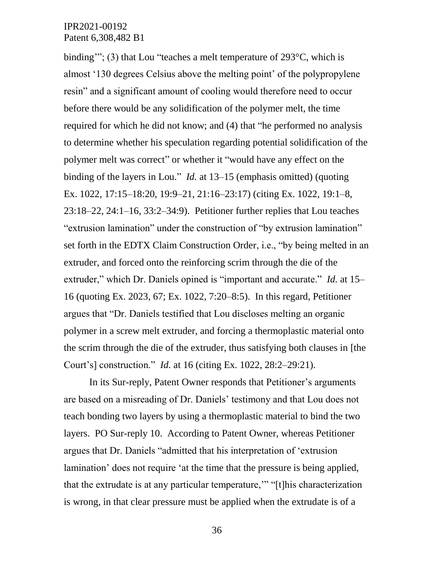binding'"; (3) that Lou "teaches a melt temperature of 293°C, which is almost '130 degrees Celsius above the melting point' of the polypropylene resin" and a significant amount of cooling would therefore need to occur before there would be any solidification of the polymer melt, the time required for which he did not know; and (4) that "he performed no analysis to determine whether his speculation regarding potential solidification of the polymer melt was correct" or whether it "would have any effect on the binding of the layers in Lou." *Id.* at 13–15 (emphasis omitted) (quoting Ex. 1022, 17:15–18:20, 19:9–21, 21:16–23:17) (citing Ex. 1022, 19:1–8, 23:18–22, 24:1–16, 33:2–34:9). Petitioner further replies that Lou teaches "extrusion lamination" under the construction of "by extrusion lamination" set forth in the EDTX Claim Construction Order, i.e., "by being melted in an extruder, and forced onto the reinforcing scrim through the die of the extruder," which Dr. Daniels opined is "important and accurate." *Id.* at 15– 16 (quoting Ex. 2023, 67; Ex. 1022, 7:20–8:5). In this regard, Petitioner argues that "Dr. Daniels testified that Lou discloses melting an organic polymer in a screw melt extruder, and forcing a thermoplastic material onto the scrim through the die of the extruder, thus satisfying both clauses in [the Court's] construction." *Id.* at 16 (citing Ex. 1022, 28:2–29:21).

In its Sur-reply, Patent Owner responds that Petitioner's arguments are based on a misreading of Dr. Daniels' testimony and that Lou does not teach bonding two layers by using a thermoplastic material to bind the two layers. PO Sur-reply 10. According to Patent Owner, whereas Petitioner argues that Dr. Daniels "admitted that his interpretation of 'extrusion lamination' does not require 'at the time that the pressure is being applied, that the extrudate is at any particular temperature,'" "[t]his characterization is wrong, in that clear pressure must be applied when the extrudate is of a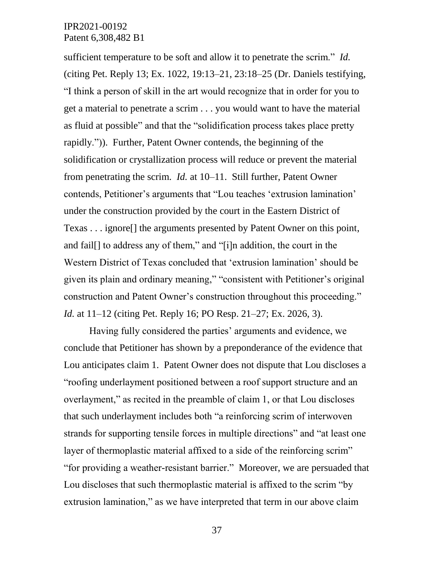sufficient temperature to be soft and allow it to penetrate the scrim." *Id.* (citing Pet. Reply 13; Ex. 1022, 19:13–21, 23:18–25 (Dr. Daniels testifying, "I think a person of skill in the art would recognize that in order for you to get a material to penetrate a scrim . . . you would want to have the material as fluid at possible" and that the "solidification process takes place pretty rapidly.")). Further, Patent Owner contends, the beginning of the solidification or crystallization process will reduce or prevent the material from penetrating the scrim. *Id.* at 10–11. Still further, Patent Owner contends, Petitioner's arguments that "Lou teaches 'extrusion lamination' under the construction provided by the court in the Eastern District of Texas . . . ignore[] the arguments presented by Patent Owner on this point, and fail[] to address any of them," and "[i]n addition, the court in the Western District of Texas concluded that 'extrusion lamination' should be given its plain and ordinary meaning," "consistent with Petitioner's original construction and Patent Owner's construction throughout this proceeding." *Id.* at 11–12 (citing Pet. Reply 16; PO Resp. 21–27; Ex. 2026, 3).

Having fully considered the parties' arguments and evidence, we conclude that Petitioner has shown by a preponderance of the evidence that Lou anticipates claim 1. Patent Owner does not dispute that Lou discloses a "roofing underlayment positioned between a roof support structure and an overlayment," as recited in the preamble of claim 1, or that Lou discloses that such underlayment includes both "a reinforcing scrim of interwoven strands for supporting tensile forces in multiple directions" and "at least one layer of thermoplastic material affixed to a side of the reinforcing scrim" "for providing a weather-resistant barrier." Moreover, we are persuaded that Lou discloses that such thermoplastic material is affixed to the scrim "by extrusion lamination," as we have interpreted that term in our above claim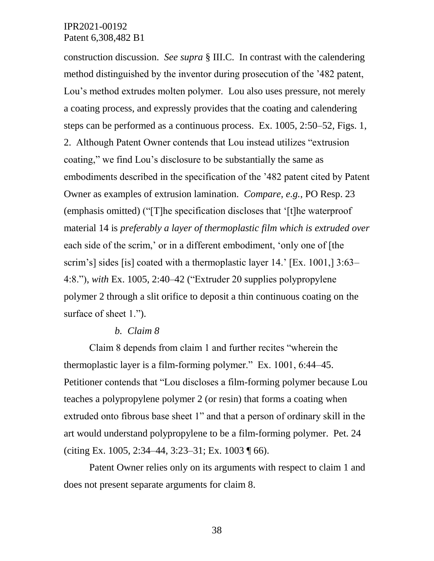construction discussion. *See supra* § III.C. In contrast with the calendering method distinguished by the inventor during prosecution of the '482 patent, Lou's method extrudes molten polymer. Lou also uses pressure, not merely a coating process, and expressly provides that the coating and calendering steps can be performed as a continuous process. Ex. 1005, 2:50–52, Figs. 1, 2. Although Patent Owner contends that Lou instead utilizes "extrusion coating," we find Lou's disclosure to be substantially the same as embodiments described in the specification of the '482 patent cited by Patent Owner as examples of extrusion lamination. *Compare, e.g.*, PO Resp. 23 (emphasis omitted) ("[T]he specification discloses that '[t]he waterproof material 14 is *preferably a layer of thermoplastic film which is extruded over* each side of the scrim,' or in a different embodiment, 'only one of [the scrim's] sides [is] coated with a thermoplastic layer 14.' [Ex. 1001,] 3:63– 4:8."), *with* Ex. 1005, 2:40–42 ("Extruder 20 supplies polypropylene polymer 2 through a slit orifice to deposit a thin continuous coating on the surface of sheet 1.").

#### *b. Claim 8*

Claim 8 depends from claim 1 and further recites "wherein the thermoplastic layer is a film-forming polymer." Ex. 1001, 6:44–45. Petitioner contends that "Lou discloses a film-forming polymer because Lou teaches a polypropylene polymer 2 (or resin) that forms a coating when extruded onto fibrous base sheet 1" and that a person of ordinary skill in the art would understand polypropylene to be a film-forming polymer. Pet. 24 (citing Ex. 1005, 2:34–44, 3:23–31; Ex. 1003 ¶ 66).

Patent Owner relies only on its arguments with respect to claim 1 and does not present separate arguments for claim 8.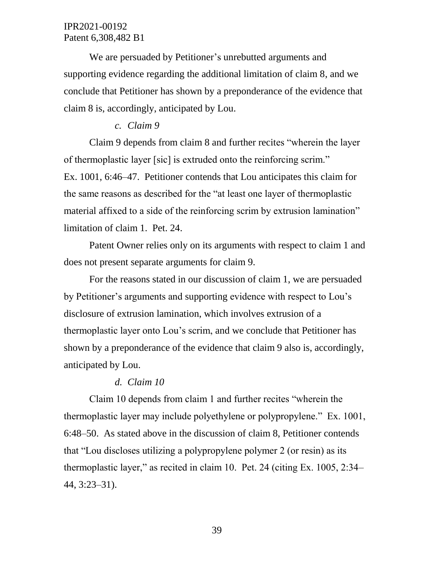We are persuaded by Petitioner's unrebutted arguments and supporting evidence regarding the additional limitation of claim 8, and we conclude that Petitioner has shown by a preponderance of the evidence that claim 8 is, accordingly, anticipated by Lou.

# *c. Claim 9*

Claim 9 depends from claim 8 and further recites "wherein the layer of thermoplastic layer [sic] is extruded onto the reinforcing scrim." Ex. 1001, 6:46–47. Petitioner contends that Lou anticipates this claim for the same reasons as described for the "at least one layer of thermoplastic material affixed to a side of the reinforcing scrim by extrusion lamination" limitation of claim 1. Pet. 24.

Patent Owner relies only on its arguments with respect to claim 1 and does not present separate arguments for claim 9.

For the reasons stated in our discussion of claim 1, we are persuaded by Petitioner's arguments and supporting evidence with respect to Lou's disclosure of extrusion lamination, which involves extrusion of a thermoplastic layer onto Lou's scrim, and we conclude that Petitioner has shown by a preponderance of the evidence that claim 9 also is, accordingly, anticipated by Lou.

#### *d. Claim 10*

Claim 10 depends from claim 1 and further recites "wherein the thermoplastic layer may include polyethylene or polypropylene." Ex. 1001, 6:48–50. As stated above in the discussion of claim 8, Petitioner contends that "Lou discloses utilizing a polypropylene polymer 2 (or resin) as its thermoplastic layer," as recited in claim 10. Pet. 24 (citing Ex. 1005, 2:34– 44, 3:23–31).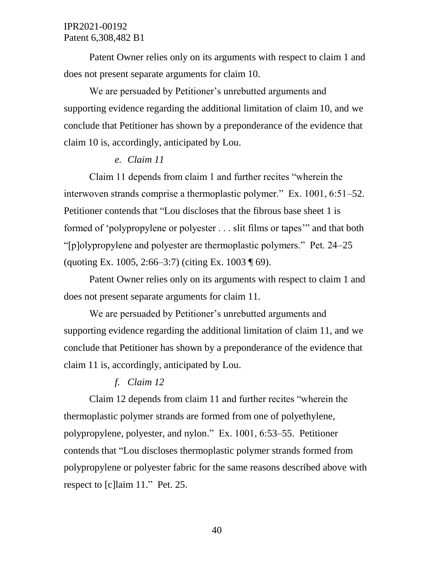Patent Owner relies only on its arguments with respect to claim 1 and does not present separate arguments for claim 10.

We are persuaded by Petitioner's unrebutted arguments and supporting evidence regarding the additional limitation of claim 10, and we conclude that Petitioner has shown by a preponderance of the evidence that claim 10 is, accordingly, anticipated by Lou.

#### *e. Claim 11*

Claim 11 depends from claim 1 and further recites "wherein the interwoven strands comprise a thermoplastic polymer." Ex. 1001, 6:51–52. Petitioner contends that "Lou discloses that the fibrous base sheet 1 is formed of 'polypropylene or polyester . . . slit films or tapes'" and that both "[p]olypropylene and polyester are thermoplastic polymers." Pet. 24–25 (quoting Ex. 1005, 2:66–3:7) (citing Ex. 1003  $\sqrt{9}$ ).

Patent Owner relies only on its arguments with respect to claim 1 and does not present separate arguments for claim 11.

We are persuaded by Petitioner's unrebutted arguments and supporting evidence regarding the additional limitation of claim 11, and we conclude that Petitioner has shown by a preponderance of the evidence that claim 11 is, accordingly, anticipated by Lou.

# *f. Claim 12*

Claim 12 depends from claim 11 and further recites "wherein the thermoplastic polymer strands are formed from one of polyethylene, polypropylene, polyester, and nylon." Ex. 1001, 6:53–55. Petitioner contends that "Lou discloses thermoplastic polymer strands formed from polypropylene or polyester fabric for the same reasons described above with respect to [c]laim 11." Pet. 25.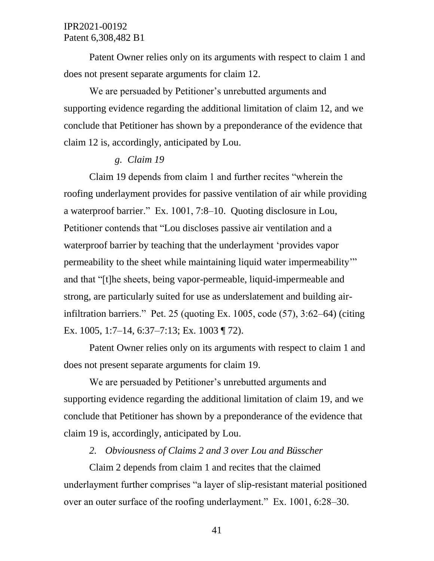Patent Owner relies only on its arguments with respect to claim 1 and does not present separate arguments for claim 12.

We are persuaded by Petitioner's unrebutted arguments and supporting evidence regarding the additional limitation of claim 12, and we conclude that Petitioner has shown by a preponderance of the evidence that claim 12 is, accordingly, anticipated by Lou.

#### *g. Claim 19*

Claim 19 depends from claim 1 and further recites "wherein the roofing underlayment provides for passive ventilation of air while providing a waterproof barrier." Ex. 1001, 7:8–10. Quoting disclosure in Lou, Petitioner contends that "Lou discloses passive air ventilation and a waterproof barrier by teaching that the underlayment 'provides vapor permeability to the sheet while maintaining liquid water impermeability'" and that "[t]he sheets, being vapor-permeable, liquid-impermeable and strong, are particularly suited for use as underslatement and building airinfiltration barriers." Pet. 25 (quoting Ex. 1005, code (57), 3:62–64) (citing Ex. 1005, 1:7–14, 6:37–7:13; Ex. 1003 ¶ 72).

Patent Owner relies only on its arguments with respect to claim 1 and does not present separate arguments for claim 19.

We are persuaded by Petitioner's unrebutted arguments and supporting evidence regarding the additional limitation of claim 19, and we conclude that Petitioner has shown by a preponderance of the evidence that claim 19 is, accordingly, anticipated by Lou.

## *2. Obviousness of Claims 2 and 3 over Lou and Büsscher*

Claim 2 depends from claim 1 and recites that the claimed underlayment further comprises "a layer of slip-resistant material positioned over an outer surface of the roofing underlayment." Ex. 1001, 6:28–30.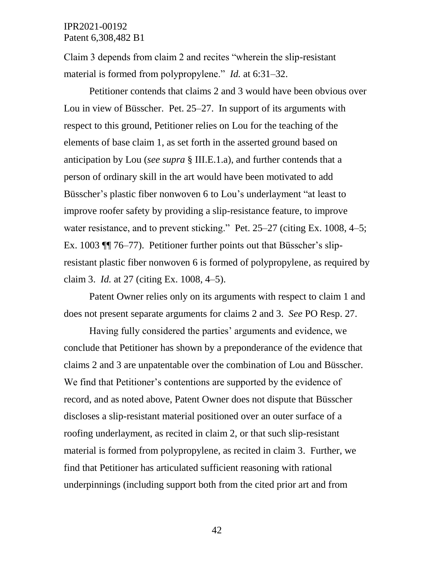Claim 3 depends from claim 2 and recites "wherein the slip-resistant material is formed from polypropylene." *Id.* at 6:31–32.

Petitioner contends that claims 2 and 3 would have been obvious over Lou in view of Büsscher. Pet. 25–27. In support of its arguments with respect to this ground, Petitioner relies on Lou for the teaching of the elements of base claim 1, as set forth in the asserted ground based on anticipation by Lou (*see supra* § III.E.1.a), and further contends that a person of ordinary skill in the art would have been motivated to add Büsscher's plastic fiber nonwoven 6 to Lou's underlayment "at least to improve roofer safety by providing a slip-resistance feature, to improve water resistance, and to prevent sticking." Pet. 25–27 (citing Ex. 1008, 4–5; Ex. 1003 ¶¶ 76–77). Petitioner further points out that Büsscher's slipresistant plastic fiber nonwoven 6 is formed of polypropylene, as required by claim 3. *Id.* at 27 (citing Ex. 1008, 4–5).

Patent Owner relies only on its arguments with respect to claim 1 and does not present separate arguments for claims 2 and 3. *See* PO Resp. 27.

Having fully considered the parties' arguments and evidence, we conclude that Petitioner has shown by a preponderance of the evidence that claims 2 and 3 are unpatentable over the combination of Lou and Büsscher. We find that Petitioner's contentions are supported by the evidence of record, and as noted above, Patent Owner does not dispute that Büsscher discloses a slip-resistant material positioned over an outer surface of a roofing underlayment, as recited in claim 2, or that such slip-resistant material is formed from polypropylene, as recited in claim 3. Further, we find that Petitioner has articulated sufficient reasoning with rational underpinnings (including support both from the cited prior art and from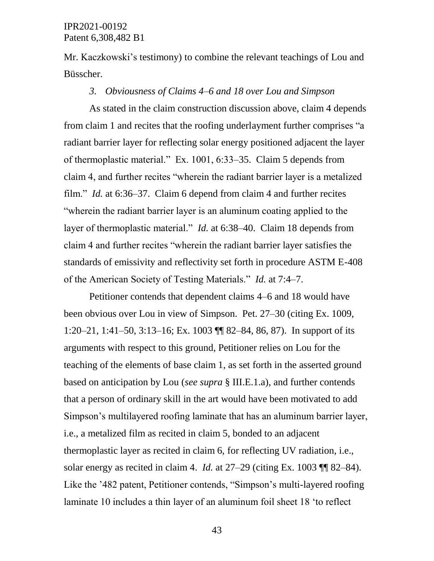Mr. Kaczkowski's testimony) to combine the relevant teachings of Lou and Büsscher.

#### *3. Obviousness of Claims 4–6 and 18 over Lou and Simpson*

As stated in the claim construction discussion above, claim 4 depends from claim 1 and recites that the roofing underlayment further comprises "a radiant barrier layer for reflecting solar energy positioned adjacent the layer of thermoplastic material." Ex. 1001, 6:33–35. Claim 5 depends from claim 4, and further recites "wherein the radiant barrier layer is a metalized film." *Id.* at 6:36–37. Claim 6 depend from claim 4 and further recites "wherein the radiant barrier layer is an aluminum coating applied to the layer of thermoplastic material." *Id.* at 6:38–40. Claim 18 depends from claim 4 and further recites "wherein the radiant barrier layer satisfies the standards of emissivity and reflectivity set forth in procedure ASTM E-408 of the American Society of Testing Materials." *Id.* at 7:4–7.

Petitioner contends that dependent claims 4–6 and 18 would have been obvious over Lou in view of Simpson. Pet. 27–30 (citing Ex. 1009, 1:20–21, 1:41–50, 3:13–16; Ex. 1003 ¶¶ 82–84, 86, 87). In support of its arguments with respect to this ground, Petitioner relies on Lou for the teaching of the elements of base claim 1, as set forth in the asserted ground based on anticipation by Lou (*see supra* § III.E.1.a), and further contends that a person of ordinary skill in the art would have been motivated to add Simpson's multilayered roofing laminate that has an aluminum barrier layer, i.e., a metalized film as recited in claim 5, bonded to an adjacent thermoplastic layer as recited in claim 6, for reflecting UV radiation, i.e., solar energy as recited in claim 4. *Id.* at 27–29 (citing Ex. 1003 ¶¶ 82–84). Like the '482 patent, Petitioner contends, "Simpson's multi-layered roofing laminate 10 includes a thin layer of an aluminum foil sheet 18 'to reflect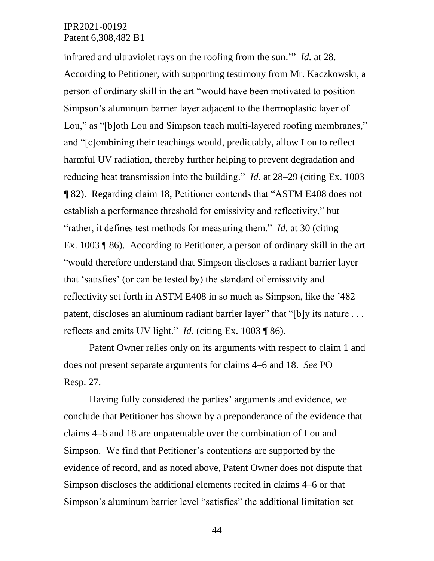infrared and ultraviolet rays on the roofing from the sun.'" *Id.* at 28. According to Petitioner, with supporting testimony from Mr. Kaczkowski, a person of ordinary skill in the art "would have been motivated to position Simpson's aluminum barrier layer adjacent to the thermoplastic layer of Lou," as "[b]oth Lou and Simpson teach multi-layered roofing membranes," and "[c]ombining their teachings would, predictably, allow Lou to reflect harmful UV radiation, thereby further helping to prevent degradation and reducing heat transmission into the building." *Id.* at 28–29 (citing Ex. 1003 ¶ 82). Regarding claim 18, Petitioner contends that "ASTM E408 does not establish a performance threshold for emissivity and reflectivity," but "rather, it defines test methods for measuring them." *Id.* at 30 (citing Ex. 1003 ¶ 86). According to Petitioner, a person of ordinary skill in the art "would therefore understand that Simpson discloses a radiant barrier layer that 'satisfies' (or can be tested by) the standard of emissivity and reflectivity set forth in ASTM E408 in so much as Simpson, like the '482 patent, discloses an aluminum radiant barrier layer" that "[b]y its nature . . . reflects and emits UV light." *Id.* (citing Ex. 1003 ¶ 86).

Patent Owner relies only on its arguments with respect to claim 1 and does not present separate arguments for claims 4–6 and 18. *See* PO Resp. 27.

Having fully considered the parties' arguments and evidence, we conclude that Petitioner has shown by a preponderance of the evidence that claims 4–6 and 18 are unpatentable over the combination of Lou and Simpson. We find that Petitioner's contentions are supported by the evidence of record, and as noted above, Patent Owner does not dispute that Simpson discloses the additional elements recited in claims 4–6 or that Simpson's aluminum barrier level "satisfies" the additional limitation set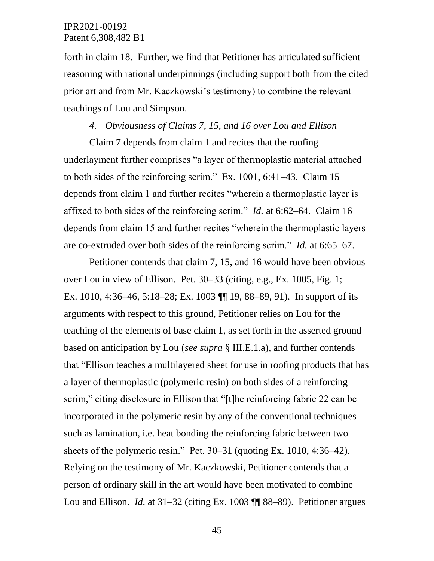forth in claim 18. Further, we find that Petitioner has articulated sufficient reasoning with rational underpinnings (including support both from the cited prior art and from Mr. Kaczkowski's testimony) to combine the relevant teachings of Lou and Simpson.

#### *4. Obviousness of Claims 7, 15, and 16 over Lou and Ellison*

Claim 7 depends from claim 1 and recites that the roofing underlayment further comprises "a layer of thermoplastic material attached to both sides of the reinforcing scrim." Ex. 1001, 6:41–43. Claim 15 depends from claim 1 and further recites "wherein a thermoplastic layer is affixed to both sides of the reinforcing scrim." *Id.* at 6:62–64. Claim 16 depends from claim 15 and further recites "wherein the thermoplastic layers are co-extruded over both sides of the reinforcing scrim." *Id.* at 6:65–67.

Petitioner contends that claim 7, 15, and 16 would have been obvious over Lou in view of Ellison. Pet. 30–33 (citing, e.g., Ex. 1005, Fig. 1; Ex. 1010, 4:36–46, 5:18–28; Ex. 1003 ¶¶ 19, 88–89, 91). In support of its arguments with respect to this ground, Petitioner relies on Lou for the teaching of the elements of base claim 1, as set forth in the asserted ground based on anticipation by Lou (*see supra* § III.E.1.a), and further contends that "Ellison teaches a multilayered sheet for use in roofing products that has a layer of thermoplastic (polymeric resin) on both sides of a reinforcing scrim," citing disclosure in Ellison that "[t]he reinforcing fabric 22 can be incorporated in the polymeric resin by any of the conventional techniques such as lamination, i.e. heat bonding the reinforcing fabric between two sheets of the polymeric resin." Pet. 30–31 (quoting Ex. 1010, 4:36–42). Relying on the testimony of Mr. Kaczkowski, Petitioner contends that a person of ordinary skill in the art would have been motivated to combine Lou and Ellison. *Id.* at 31–32 (citing Ex. 1003 ¶¶ 88–89). Petitioner argues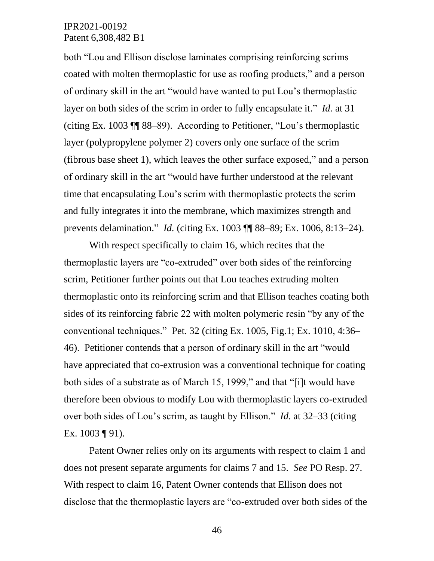both "Lou and Ellison disclose laminates comprising reinforcing scrims coated with molten thermoplastic for use as roofing products," and a person of ordinary skill in the art "would have wanted to put Lou's thermoplastic layer on both sides of the scrim in order to fully encapsulate it." *Id.* at 31 (citing Ex. 1003 ¶¶ 88–89). According to Petitioner, "Lou's thermoplastic layer (polypropylene polymer 2) covers only one surface of the scrim (fibrous base sheet 1), which leaves the other surface exposed," and a person of ordinary skill in the art "would have further understood at the relevant time that encapsulating Lou's scrim with thermoplastic protects the scrim and fully integrates it into the membrane, which maximizes strength and prevents delamination." *Id.* (citing Ex. 1003 ¶¶ 88–89; Ex. 1006, 8:13–24).

With respect specifically to claim 16, which recites that the thermoplastic layers are "co-extruded" over both sides of the reinforcing scrim, Petitioner further points out that Lou teaches extruding molten thermoplastic onto its reinforcing scrim and that Ellison teaches coating both sides of its reinforcing fabric 22 with molten polymeric resin "by any of the conventional techniques." Pet*.* 32 (citing Ex. 1005, Fig.1; Ex. 1010, 4:36– 46). Petitioner contends that a person of ordinary skill in the art "would have appreciated that co-extrusion was a conventional technique for coating both sides of a substrate as of March 15, 1999," and that "[i]t would have therefore been obvious to modify Lou with thermoplastic layers co-extruded over both sides of Lou's scrim, as taught by Ellison." *Id.* at 32–33 (citing Ex. 1003 ¶ 91).

Patent Owner relies only on its arguments with respect to claim 1 and does not present separate arguments for claims 7 and 15. *See* PO Resp. 27. With respect to claim 16, Patent Owner contends that Ellison does not disclose that the thermoplastic layers are "co-extruded over both sides of the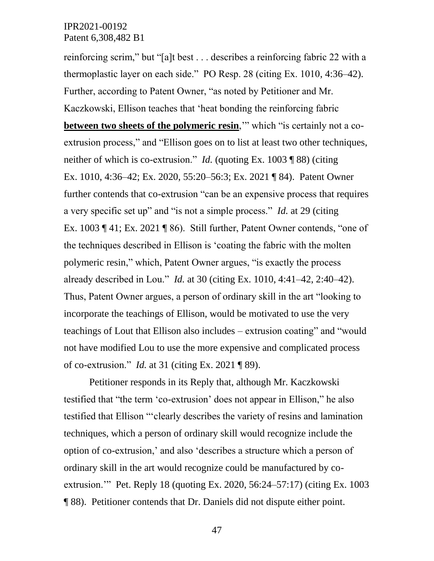reinforcing scrim," but "[a]t best . . . describes a reinforcing fabric 22 with a thermoplastic layer on each side." PO Resp. 28 (citing Ex. 1010, 4:36–42). Further, according to Patent Owner, "as noted by Petitioner and Mr. Kaczkowski, Ellison teaches that 'heat bonding the reinforcing fabric **between two sheets of the polymeric resin,**" which "is certainly not a coextrusion process," and "Ellison goes on to list at least two other techniques, neither of which is co-extrusion." *Id.* (quoting Ex. 1003 ¶ 88) (citing Ex. 1010, 4:36–42; Ex. 2020, 55:20–56:3; Ex. 2021 ¶ 84). Patent Owner further contends that co-extrusion "can be an expensive process that requires a very specific set up" and "is not a simple process." *Id.* at 29 (citing Ex. 1003 ¶ 41; Ex. 2021 ¶ 86). Still further, Patent Owner contends, "one of the techniques described in Ellison is 'coating the fabric with the molten polymeric resin," which, Patent Owner argues, "is exactly the process already described in Lou." *Id.* at 30 (citing Ex. 1010, 4:41–42, 2:40–42). Thus, Patent Owner argues, a person of ordinary skill in the art "looking to incorporate the teachings of Ellison, would be motivated to use the very teachings of Lout that Ellison also includes – extrusion coating" and "would not have modified Lou to use the more expensive and complicated process of co-extrusion." *Id.* at 31 (citing Ex. 2021 ¶ 89).

Petitioner responds in its Reply that, although Mr. Kaczkowski testified that "the term 'co-extrusion' does not appear in Ellison," he also testified that Ellison "'clearly describes the variety of resins and lamination techniques, which a person of ordinary skill would recognize include the option of co-extrusion,' and also 'describes a structure which a person of ordinary skill in the art would recognize could be manufactured by coextrusion.'" Pet. Reply 18 (quoting Ex. 2020, 56:24–57:17) (citing Ex. 1003 ¶ 88). Petitioner contends that Dr. Daniels did not dispute either point.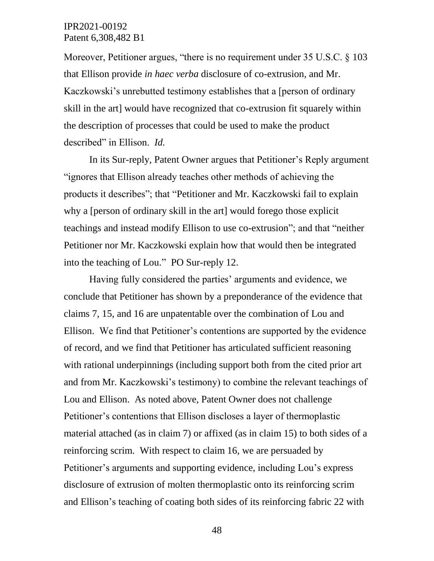Moreover, Petitioner argues, "there is no requirement under 35 U.S.C. § 103 that Ellison provide *in haec verba* disclosure of co-extrusion, and Mr. Kaczkowski's unrebutted testimony establishes that a [person of ordinary skill in the art] would have recognized that co-extrusion fit squarely within the description of processes that could be used to make the product described" in Ellison. *Id.*

In its Sur-reply, Patent Owner argues that Petitioner's Reply argument "ignores that Ellison already teaches other methods of achieving the products it describes"; that "Petitioner and Mr. Kaczkowski fail to explain why a [person of ordinary skill in the art] would forego those explicit teachings and instead modify Ellison to use co-extrusion"; and that "neither Petitioner nor Mr. Kaczkowski explain how that would then be integrated into the teaching of Lou." PO Sur-reply 12.

Having fully considered the parties' arguments and evidence, we conclude that Petitioner has shown by a preponderance of the evidence that claims 7, 15, and 16 are unpatentable over the combination of Lou and Ellison. We find that Petitioner's contentions are supported by the evidence of record, and we find that Petitioner has articulated sufficient reasoning with rational underpinnings (including support both from the cited prior art and from Mr. Kaczkowski's testimony) to combine the relevant teachings of Lou and Ellison. As noted above, Patent Owner does not challenge Petitioner's contentions that Ellison discloses a layer of thermoplastic material attached (as in claim 7) or affixed (as in claim 15) to both sides of a reinforcing scrim. With respect to claim 16, we are persuaded by Petitioner's arguments and supporting evidence, including Lou's express disclosure of extrusion of molten thermoplastic onto its reinforcing scrim and Ellison's teaching of coating both sides of its reinforcing fabric 22 with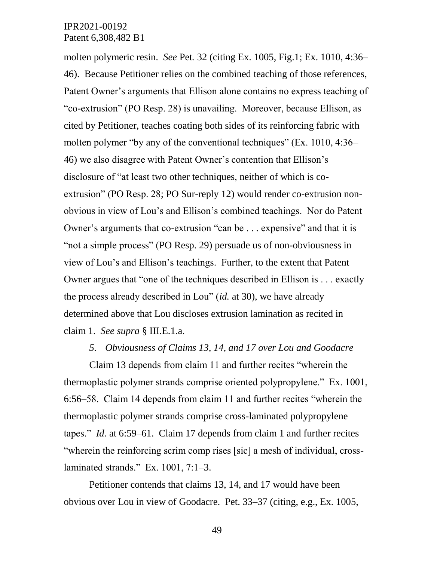molten polymeric resin. *See* Pet*.* 32 (citing Ex. 1005, Fig.1; Ex. 1010, 4:36– 46). Because Petitioner relies on the combined teaching of those references, Patent Owner's arguments that Ellison alone contains no express teaching of "co-extrusion" (PO Resp. 28) is unavailing. Moreover, because Ellison, as cited by Petitioner, teaches coating both sides of its reinforcing fabric with molten polymer "by any of the conventional techniques" (Ex. 1010, 4:36– 46) we also disagree with Patent Owner's contention that Ellison's disclosure of "at least two other techniques, neither of which is coextrusion" (PO Resp. 28; PO Sur-reply 12) would render co-extrusion nonobvious in view of Lou's and Ellison's combined teachings. Nor do Patent Owner's arguments that co-extrusion "can be . . . expensive" and that it is "not a simple process" (PO Resp. 29) persuade us of non-obviousness in view of Lou's and Ellison's teachings. Further, to the extent that Patent Owner argues that "one of the techniques described in Ellison is . . . exactly the process already described in Lou" (*id.* at 30), we have already determined above that Lou discloses extrusion lamination as recited in claim 1. *See supra* § III.E.1.a.

#### *5. Obviousness of Claims 13, 14, and 17 over Lou and Goodacre*

Claim 13 depends from claim 11 and further recites "wherein the thermoplastic polymer strands comprise oriented polypropylene." Ex. 1001, 6:56–58. Claim 14 depends from claim 11 and further recites "wherein the thermoplastic polymer strands comprise cross-laminated polypropylene tapes." *Id.* at 6:59–61. Claim 17 depends from claim 1 and further recites "wherein the reinforcing scrim comp rises [sic] a mesh of individual, crosslaminated strands." Ex. 1001, 7:1–3.

Petitioner contends that claims 13, 14, and 17 would have been obvious over Lou in view of Goodacre. Pet. 33–37 (citing, e.g., Ex. 1005,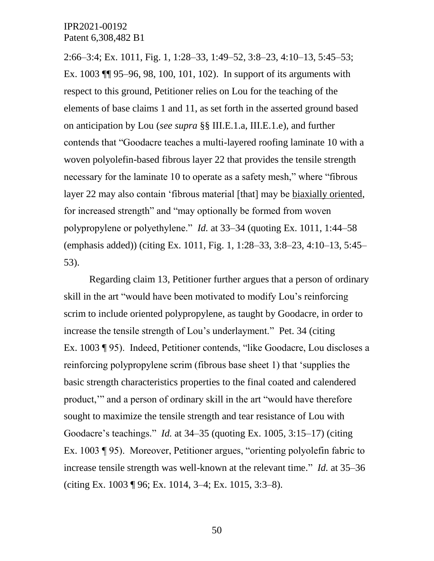2:66–3:4; Ex. 1011, Fig. 1, 1:28–33, 1:49–52, 3:8–23, 4:10–13, 5:45–53; Ex. 1003 ¶¶ 95–96, 98, 100, 101, 102). In support of its arguments with respect to this ground, Petitioner relies on Lou for the teaching of the elements of base claims 1 and 11, as set forth in the asserted ground based on anticipation by Lou (*see supra* §§ III.E.1.a, III.E.1.e), and further contends that "Goodacre teaches a multi-layered roofing laminate 10 with a woven polyolefin-based fibrous layer 22 that provides the tensile strength necessary for the laminate 10 to operate as a safety mesh," where "fibrous layer 22 may also contain 'fibrous material [that] may be biaxially oriented, for increased strength" and "may optionally be formed from woven polypropylene or polyethylene." *Id.* at 33–34 (quoting Ex. 1011, 1:44–58 (emphasis added)) (citing Ex. 1011, Fig. 1, 1:28–33, 3:8–23, 4:10–13, 5:45– 53).

Regarding claim 13, Petitioner further argues that a person of ordinary skill in the art "would have been motivated to modify Lou's reinforcing scrim to include oriented polypropylene, as taught by Goodacre, in order to increase the tensile strength of Lou's underlayment." Pet. 34 (citing Ex. 1003 ¶ 95). Indeed, Petitioner contends, "like Goodacre, Lou discloses a reinforcing polypropylene scrim (fibrous base sheet 1) that 'supplies the basic strength characteristics properties to the final coated and calendered product,'" and a person of ordinary skill in the art "would have therefore sought to maximize the tensile strength and tear resistance of Lou with Goodacre's teachings." *Id.* at 34–35 (quoting Ex. 1005, 3:15–17) (citing Ex. 1003 ¶ 95). Moreover, Petitioner argues, "orienting polyolefin fabric to increase tensile strength was well-known at the relevant time." *Id.* at 35–36 (citing Ex. 1003 ¶ 96; Ex. 1014, 3–4; Ex. 1015, 3:3–8).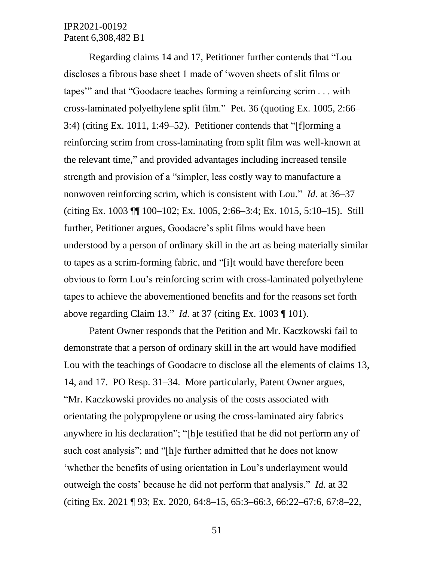Regarding claims 14 and 17, Petitioner further contends that "Lou discloses a fibrous base sheet 1 made of 'woven sheets of slit films or tapes'" and that "Goodacre teaches forming a reinforcing scrim . . . with cross-laminated polyethylene split film." Pet. 36 (quoting Ex. 1005, 2:66– 3:4) (citing Ex. 1011, 1:49–52). Petitioner contends that "[f]orming a reinforcing scrim from cross-laminating from split film was well-known at the relevant time," and provided advantages including increased tensile strength and provision of a "simpler, less costly way to manufacture a nonwoven reinforcing scrim, which is consistent with Lou." *Id.* at 36–37 (citing Ex. 1003 ¶¶ 100–102; Ex. 1005, 2:66–3:4; Ex. 1015, 5:10–15). Still further, Petitioner argues, Goodacre's split films would have been understood by a person of ordinary skill in the art as being materially similar to tapes as a scrim-forming fabric, and "[i]t would have therefore been obvious to form Lou's reinforcing scrim with cross-laminated polyethylene tapes to achieve the abovementioned benefits and for the reasons set forth above regarding Claim 13." *Id.* at 37 (citing Ex. 1003 ¶ 101).

Patent Owner responds that the Petition and Mr. Kaczkowski fail to demonstrate that a person of ordinary skill in the art would have modified Lou with the teachings of Goodacre to disclose all the elements of claims 13, 14, and 17. PO Resp. 31–34. More particularly, Patent Owner argues, "Mr. Kaczkowski provides no analysis of the costs associated with orientating the polypropylene or using the cross-laminated airy fabrics anywhere in his declaration"; "[h]e testified that he did not perform any of such cost analysis"; and "[h]e further admitted that he does not know 'whether the benefits of using orientation in Lou's underlayment would outweigh the costs' because he did not perform that analysis." *Id.* at 32 (citing Ex. 2021 ¶ 93; Ex. 2020, 64:8–15, 65:3–66:3, 66:22–67:6, 67:8–22,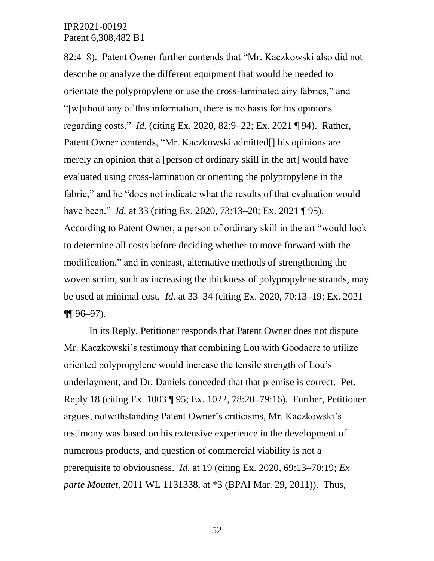82:4–8). Patent Owner further contends that "Mr. Kaczkowski also did not describe or analyze the different equipment that would be needed to orientate the polypropylene or use the cross-laminated airy fabrics," and "[w]ithout any of this information, there is no basis for his opinions regarding costs." *Id.* (citing Ex. 2020, 82:9–22; Ex. 2021 ¶ 94). Rather, Patent Owner contends, "Mr. Kaczkowski admitted<sup>[]</sup> his opinions are merely an opinion that a [person of ordinary skill in the art] would have evaluated using cross-lamination or orienting the polypropylene in the fabric," and he "does not indicate what the results of that evaluation would have been." *Id.* at 33 (citing Ex. 2020, 73:13–20; Ex. 2021 ¶ 95). According to Patent Owner, a person of ordinary skill in the art "would look to determine all costs before deciding whether to move forward with the modification," and in contrast, alternative methods of strengthening the woven scrim, such as increasing the thickness of polypropylene strands, may be used at minimal cost. *Id.* at 33–34 (citing Ex. 2020, 70:13–19; Ex. 2021 ¶¶ 96–97).

In its Reply, Petitioner responds that Patent Owner does not dispute Mr. Kaczkowski's testimony that combining Lou with Goodacre to utilize oriented polypropylene would increase the tensile strength of Lou's underlayment, and Dr. Daniels conceded that that premise is correct. Pet. Reply 18 (citing Ex. 1003 ¶ 95; Ex. 1022, 78:20–79:16). Further, Petitioner argues, notwithstanding Patent Owner's criticisms, Mr. Kaczkowski's testimony was based on his extensive experience in the development of numerous products, and question of commercial viability is not a prerequisite to obviousness. *Id.* at 19 (citing Ex. 2020, 69:13–70:19; *Ex parte Mouttet*, 2011 WL 1131338, at \*3 (BPAI Mar. 29, 2011)). Thus,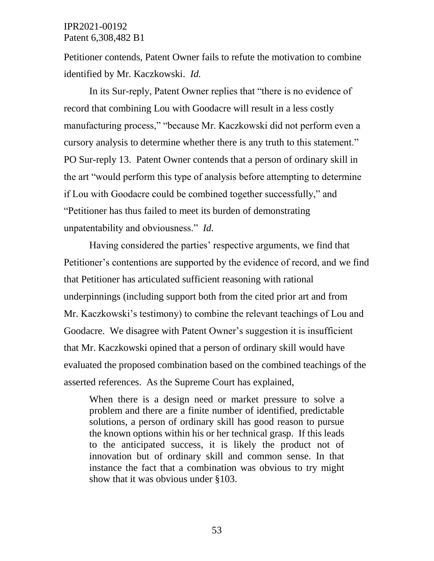Petitioner contends, Patent Owner fails to refute the motivation to combine identified by Mr. Kaczkowski. *Id.*

In its Sur-reply, Patent Owner replies that "there is no evidence of record that combining Lou with Goodacre will result in a less costly manufacturing process," "because Mr. Kaczkowski did not perform even a cursory analysis to determine whether there is any truth to this statement." PO Sur-reply 13. Patent Owner contends that a person of ordinary skill in the art "would perform this type of analysis before attempting to determine if Lou with Goodacre could be combined together successfully," and "Petitioner has thus failed to meet its burden of demonstrating unpatentability and obviousness." *Id.*

Having considered the parties' respective arguments, we find that Petitioner's contentions are supported by the evidence of record, and we find that Petitioner has articulated sufficient reasoning with rational underpinnings (including support both from the cited prior art and from Mr. Kaczkowski's testimony) to combine the relevant teachings of Lou and Goodacre. We disagree with Patent Owner's suggestion it is insufficient that Mr. Kaczkowski opined that a person of ordinary skill would have evaluated the proposed combination based on the combined teachings of the asserted references. As the Supreme Court has explained,

When there is a design need or market pressure to solve a problem and there are a finite number of identified, predictable solutions, a person of ordinary skill has good reason to pursue the known options within his or her technical grasp. If this leads to the anticipated success, it is likely the product not of innovation but of ordinary skill and common sense. In that instance the fact that a combination was obvious to try might show that it was obvious under §103.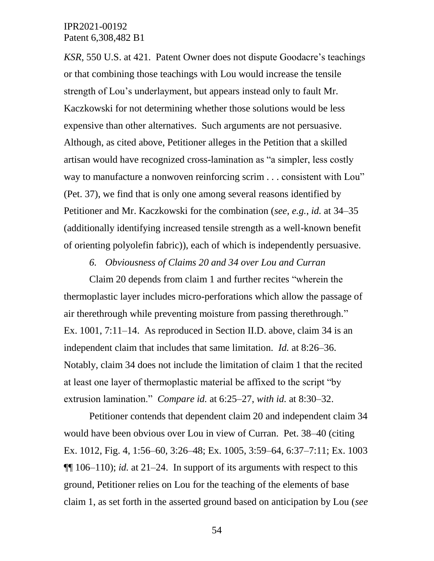*KSR*, 550 U.S. at 421. Patent Owner does not dispute Goodacre's teachings or that combining those teachings with Lou would increase the tensile strength of Lou's underlayment, but appears instead only to fault Mr. Kaczkowski for not determining whether those solutions would be less expensive than other alternatives. Such arguments are not persuasive. Although, as cited above, Petitioner alleges in the Petition that a skilled artisan would have recognized cross-lamination as "a simpler, less costly way to manufacture a nonwoven reinforcing scrim . . . consistent with Lou" (Pet. 37), we find that is only one among several reasons identified by Petitioner and Mr. Kaczkowski for the combination (*see, e.g.*, *id.* at 34–35 (additionally identifying increased tensile strength as a well-known benefit of orienting polyolefin fabric)), each of which is independently persuasive.

*6. Obviousness of Claims 20 and 34 over Lou and Curran*

Claim 20 depends from claim 1 and further recites "wherein the thermoplastic layer includes micro-perforations which allow the passage of air therethrough while preventing moisture from passing therethrough." Ex. 1001, 7:11–14. As reproduced in Section II.D. above, claim 34 is an independent claim that includes that same limitation. *Id.* at 8:26–36. Notably, claim 34 does not include the limitation of claim 1 that the recited at least one layer of thermoplastic material be affixed to the script "by extrusion lamination." *Compare id.* at 6:25–27, *with id.* at 8:30–32.

Petitioner contends that dependent claim 20 and independent claim 34 would have been obvious over Lou in view of Curran. Pet. 38–40 (citing Ex. 1012, Fig. 4, 1:56–60, 3:26–48; Ex. 1005, 3:59–64, 6:37–7:11; Ex. 1003  $\P$ [[ 106–110); *id.* at 21–24. In support of its arguments with respect to this ground, Petitioner relies on Lou for the teaching of the elements of base claim 1, as set forth in the asserted ground based on anticipation by Lou (*see*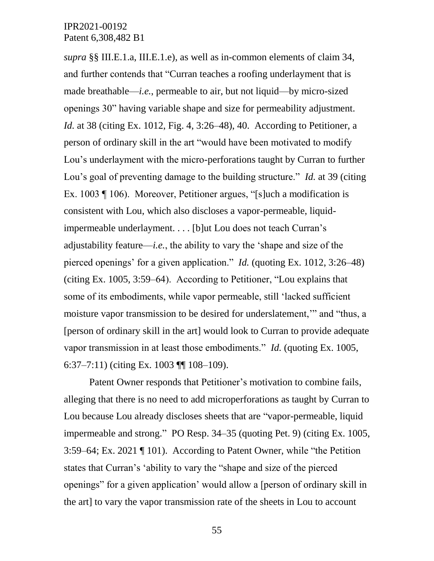*supra* §§ III.E.1.a, III.E.1.e), as well as in-common elements of claim 34, and further contends that "Curran teaches a roofing underlayment that is made breathable—*i.e.*, permeable to air, but not liquid—by micro-sized openings 30" having variable shape and size for permeability adjustment. *Id.* at 38 (citing Ex. 1012, Fig. 4, 3:26–48), 40. According to Petitioner, a person of ordinary skill in the art "would have been motivated to modify Lou's underlayment with the micro-perforations taught by Curran to further Lou's goal of preventing damage to the building structure." *Id.* at 39 (citing Ex. 1003 ¶ 106). Moreover, Petitioner argues, "[s]uch a modification is consistent with Lou, which also discloses a vapor-permeable, liquidimpermeable underlayment. . . . [b]ut Lou does not teach Curran's adjustability feature—*i.e.*, the ability to vary the 'shape and size of the pierced openings' for a given application." *Id.* (quoting Ex. 1012, 3:26–48) (citing Ex. 1005, 3:59–64). According to Petitioner, "Lou explains that some of its embodiments, while vapor permeable, still 'lacked sufficient moisture vapor transmission to be desired for underslatement,'" and "thus, a [person of ordinary skill in the art] would look to Curran to provide adequate vapor transmission in at least those embodiments." *Id.* (quoting Ex. 1005, 6:37–7:11) (citing Ex. 1003 ¶¶ 108–109).

Patent Owner responds that Petitioner's motivation to combine fails, alleging that there is no need to add microperforations as taught by Curran to Lou because Lou already discloses sheets that are "vapor-permeable, liquid impermeable and strong." PO Resp. 34–35 (quoting Pet. 9) (citing Ex. 1005, 3:59–64; Ex. 2021 ¶ 101). According to Patent Owner, while "the Petition states that Curran's 'ability to vary the "shape and size of the pierced openings" for a given application' would allow a [person of ordinary skill in the art] to vary the vapor transmission rate of the sheets in Lou to account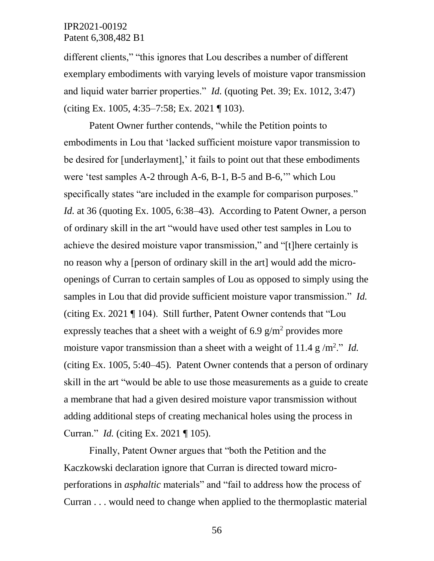different clients," "this ignores that Lou describes a number of different exemplary embodiments with varying levels of moisture vapor transmission and liquid water barrier properties." *Id.* (quoting Pet. 39; Ex. 1012, 3:47) (citing Ex. 1005, 4:35–7:58; Ex. 2021 ¶ 103).

Patent Owner further contends, "while the Petition points to embodiments in Lou that 'lacked sufficient moisture vapor transmission to be desired for [underlayment],' it fails to point out that these embodiments were 'test samples A-2 through A-6, B-1, B-5 and B-6,'" which Lou specifically states "are included in the example for comparison purposes." *Id.* at 36 (quoting Ex. 1005, 6:38–43). According to Patent Owner, a person of ordinary skill in the art "would have used other test samples in Lou to achieve the desired moisture vapor transmission," and "[t]here certainly is no reason why a [person of ordinary skill in the art] would add the microopenings of Curran to certain samples of Lou as opposed to simply using the samples in Lou that did provide sufficient moisture vapor transmission." *Id.* (citing Ex. 2021 ¶ 104). Still further, Patent Owner contends that "Lou expressly teaches that a sheet with a weight of 6.9  $g/m<sup>2</sup>$  provides more moisture vapor transmission than a sheet with a weight of  $11.4 \text{ g/m}^2$ ." *Id.* (citing Ex. 1005, 5:40–45). Patent Owner contends that a person of ordinary skill in the art "would be able to use those measurements as a guide to create a membrane that had a given desired moisture vapor transmission without adding additional steps of creating mechanical holes using the process in Curran." *Id.* (citing Ex. 2021 ¶ 105).

Finally, Patent Owner argues that "both the Petition and the Kaczkowski declaration ignore that Curran is directed toward microperforations in *asphaltic* materials" and "fail to address how the process of Curran . . . would need to change when applied to the thermoplastic material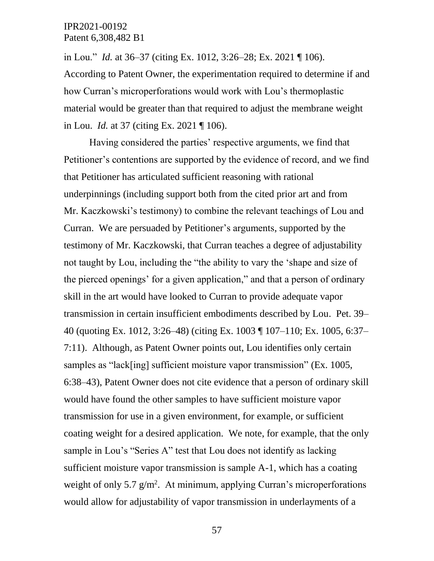in Lou." *Id.* at 36–37 (citing Ex. 1012, 3:26–28; Ex. 2021 ¶ 106). According to Patent Owner, the experimentation required to determine if and how Curran's microperforations would work with Lou's thermoplastic material would be greater than that required to adjust the membrane weight in Lou. *Id.* at 37 (citing Ex. 2021 ¶ 106).

Having considered the parties' respective arguments, we find that Petitioner's contentions are supported by the evidence of record, and we find that Petitioner has articulated sufficient reasoning with rational underpinnings (including support both from the cited prior art and from Mr. Kaczkowski's testimony) to combine the relevant teachings of Lou and Curran. We are persuaded by Petitioner's arguments, supported by the testimony of Mr. Kaczkowski, that Curran teaches a degree of adjustability not taught by Lou, including the "the ability to vary the 'shape and size of the pierced openings' for a given application," and that a person of ordinary skill in the art would have looked to Curran to provide adequate vapor transmission in certain insufficient embodiments described by Lou. Pet. 39– 40 (quoting Ex. 1012, 3:26–48) (citing Ex. 1003 ¶ 107–110; Ex. 1005, 6:37– 7:11). Although, as Patent Owner points out, Lou identifies only certain samples as "lack[ing] sufficient moisture vapor transmission" (Ex. 1005, 6:38–43), Patent Owner does not cite evidence that a person of ordinary skill would have found the other samples to have sufficient moisture vapor transmission for use in a given environment, for example, or sufficient coating weight for a desired application. We note, for example, that the only sample in Lou's "Series A" test that Lou does not identify as lacking sufficient moisture vapor transmission is sample A-1, which has a coating weight of only 5.7  $g/m^2$ . At minimum, applying Curran's microperforations would allow for adjustability of vapor transmission in underlayments of a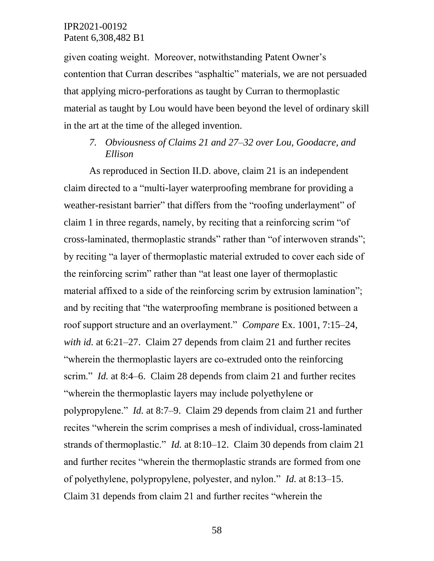given coating weight. Moreover, notwithstanding Patent Owner's contention that Curran describes "asphaltic" materials, we are not persuaded that applying micro-perforations as taught by Curran to thermoplastic material as taught by Lou would have been beyond the level of ordinary skill in the art at the time of the alleged invention.

# *7. Obviousness of Claims 21 and 27–32 over Lou, Goodacre, and Ellison*

As reproduced in Section II.D. above, claim 21 is an independent claim directed to a "multi-layer waterproofing membrane for providing a weather-resistant barrier" that differs from the "roofing underlayment" of claim 1 in three regards, namely, by reciting that a reinforcing scrim "of cross-laminated, thermoplastic strands" rather than "of interwoven strands"; by reciting "a layer of thermoplastic material extruded to cover each side of the reinforcing scrim" rather than "at least one layer of thermoplastic material affixed to a side of the reinforcing scrim by extrusion lamination"; and by reciting that "the waterproofing membrane is positioned between a roof support structure and an overlayment." *Compare* Ex. 1001, 7:15–24, *with id.* at 6:21–27. Claim 27 depends from claim 21 and further recites "wherein the thermoplastic layers are co-extruded onto the reinforcing scrim." *Id.* at 8:4–6. Claim 28 depends from claim 21 and further recites "wherein the thermoplastic layers may include polyethylene or polypropylene." *Id.* at 8:7–9. Claim 29 depends from claim 21 and further recites "wherein the scrim comprises a mesh of individual, cross-laminated strands of thermoplastic." *Id.* at 8:10–12. Claim 30 depends from claim 21 and further recites "wherein the thermoplastic strands are formed from one of polyethylene, polypropylene, polyester, and nylon." *Id.* at 8:13–15. Claim 31 depends from claim 21 and further recites "wherein the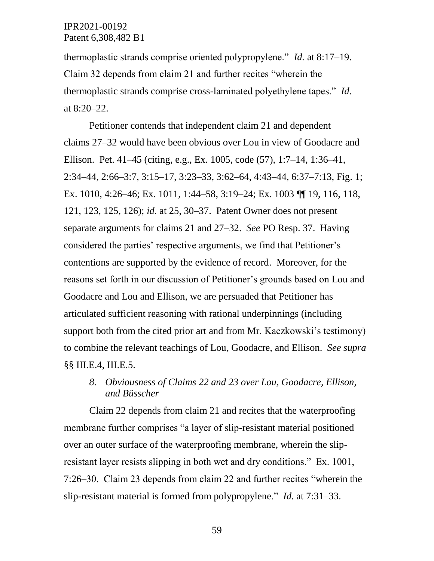thermoplastic strands comprise oriented polypropylene." *Id.* at 8:17–19. Claim 32 depends from claim 21 and further recites "wherein the thermoplastic strands comprise cross-laminated polyethylene tapes." *Id.* at 8:20–22.

Petitioner contends that independent claim 21 and dependent claims 27–32 would have been obvious over Lou in view of Goodacre and Ellison. Pet. 41–45 (citing, e.g., Ex. 1005, code (57), 1:7–14, 1:36–41, 2:34–44, 2:66–3:7, 3:15–17, 3:23–33, 3:62–64, 4:43–44, 6:37–7:13, Fig. 1; Ex. 1010, 4:26–46; Ex. 1011, 1:44–58, 3:19–24; Ex. 1003 ¶¶ 19, 116, 118, 121, 123, 125, 126); *id.* at 25, 30–37. Patent Owner does not present separate arguments for claims 21 and 27–32. *See* PO Resp. 37. Having considered the parties' respective arguments, we find that Petitioner's contentions are supported by the evidence of record. Moreover, for the reasons set forth in our discussion of Petitioner's grounds based on Lou and Goodacre and Lou and Ellison, we are persuaded that Petitioner has articulated sufficient reasoning with rational underpinnings (including support both from the cited prior art and from Mr. Kaczkowski's testimony) to combine the relevant teachings of Lou, Goodacre, and Ellison. *See supra*  §§ III.E.4, III.E.5.

# *8. Obviousness of Claims 22 and 23 over Lou, Goodacre, Ellison, and Büsscher*

Claim 22 depends from claim 21 and recites that the waterproofing membrane further comprises "a layer of slip-resistant material positioned over an outer surface of the waterproofing membrane, wherein the slipresistant layer resists slipping in both wet and dry conditions." Ex. 1001, 7:26–30. Claim 23 depends from claim 22 and further recites "wherein the slip-resistant material is formed from polypropylene." *Id.* at 7:31–33.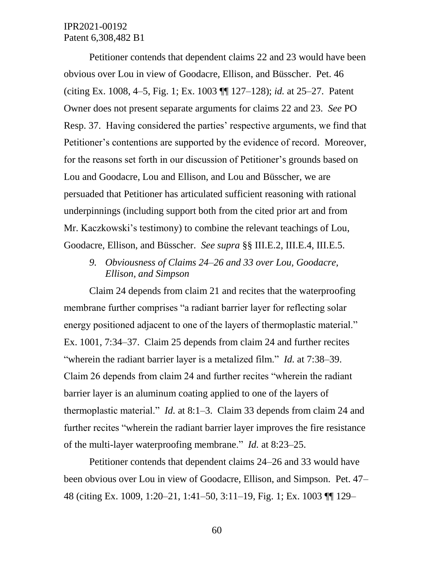Petitioner contends that dependent claims 22 and 23 would have been obvious over Lou in view of Goodacre, Ellison, and Büsscher. Pet. 46 (citing Ex. 1008, 4–5, Fig. 1; Ex. 1003 ¶¶ 127–128); *id.* at 25–27. Patent Owner does not present separate arguments for claims 22 and 23. *See* PO Resp. 37. Having considered the parties' respective arguments, we find that Petitioner's contentions are supported by the evidence of record. Moreover, for the reasons set forth in our discussion of Petitioner's grounds based on Lou and Goodacre, Lou and Ellison, and Lou and Büsscher, we are persuaded that Petitioner has articulated sufficient reasoning with rational underpinnings (including support both from the cited prior art and from Mr. Kaczkowski's testimony) to combine the relevant teachings of Lou, Goodacre, Ellison, and Büsscher. *See supra* §§ III.E.2, III.E.4, III.E.5.

*9. Obviousness of Claims 24–26 and 33 over Lou, Goodacre, Ellison, and Simpson*

Claim 24 depends from claim 21 and recites that the waterproofing membrane further comprises "a radiant barrier layer for reflecting solar energy positioned adjacent to one of the layers of thermoplastic material." Ex. 1001, 7:34–37. Claim 25 depends from claim 24 and further recites "wherein the radiant barrier layer is a metalized film." *Id.* at 7:38–39. Claim 26 depends from claim 24 and further recites "wherein the radiant barrier layer is an aluminum coating applied to one of the layers of thermoplastic material." *Id.* at 8:1–3. Claim 33 depends from claim 24 and further recites "wherein the radiant barrier layer improves the fire resistance of the multi-layer waterproofing membrane." *Id.* at 8:23–25.

Petitioner contends that dependent claims 24–26 and 33 would have been obvious over Lou in view of Goodacre, Ellison, and Simpson. Pet. 47– 48 (citing Ex. 1009, 1:20–21, 1:41–50, 3:11–19, Fig. 1; Ex. 1003 ¶¶ 129–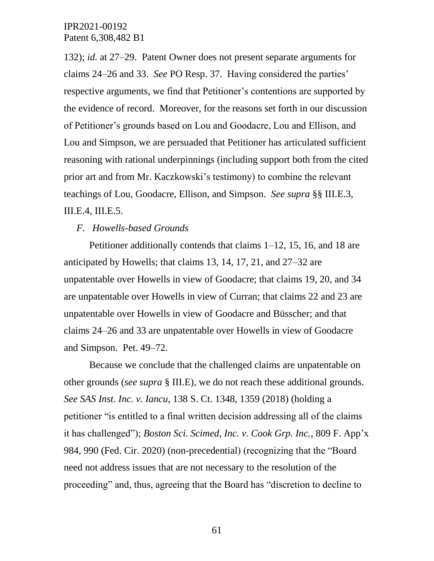132); *id.* at 27–29. Patent Owner does not present separate arguments for claims 24–26 and 33. *See* PO Resp. 37. Having considered the parties' respective arguments, we find that Petitioner's contentions are supported by the evidence of record. Moreover, for the reasons set forth in our discussion of Petitioner's grounds based on Lou and Goodacre, Lou and Ellison, and Lou and Simpson, we are persuaded that Petitioner has articulated sufficient reasoning with rational underpinnings (including support both from the cited prior art and from Mr. Kaczkowski's testimony) to combine the relevant teachings of Lou, Goodacre, Ellison, and Simpson. *See supra* §§ III.E.3, III.E.4, III.E.5.

#### *F. Howells-based Grounds*

Petitioner additionally contends that claims 1–12, 15, 16, and 18 are anticipated by Howells; that claims 13, 14, 17, 21, and 27–32 are unpatentable over Howells in view of Goodacre; that claims 19, 20, and 34 are unpatentable over Howells in view of Curran; that claims 22 and 23 are unpatentable over Howells in view of Goodacre and Büsscher; and that claims 24–26 and 33 are unpatentable over Howells in view of Goodacre and Simpson. Pet. 49–72.

Because we conclude that the challenged claims are unpatentable on other grounds (*see supra* § III.E), we do not reach these additional grounds. *See SAS Inst. Inc. v. Iancu*, 138 S. Ct. 1348, 1359 (2018) (holding a petitioner "is entitled to a final written decision addressing all of the claims it has challenged"); *Boston Sci. Scimed, Inc. v. Cook Grp. Inc.*, 809 F. App'x 984, 990 (Fed. Cir. 2020) (non-precedential) (recognizing that the "Board need not address issues that are not necessary to the resolution of the proceeding" and, thus, agreeing that the Board has "discretion to decline to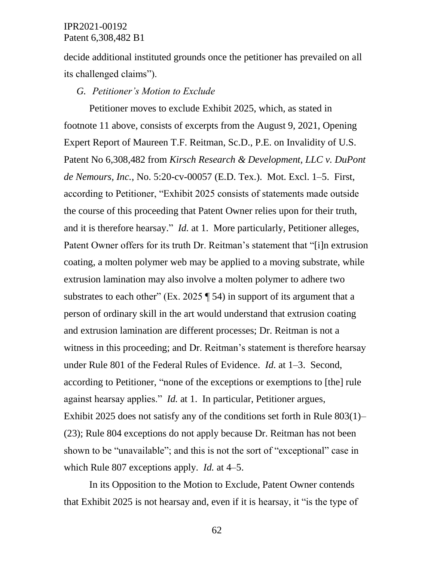decide additional instituted grounds once the petitioner has prevailed on all its challenged claims").

#### *G. Petitioner's Motion to Exclude*

Petitioner moves to exclude Exhibit 2025, which, as stated in footnote 11 above, consists of excerpts from the August 9, 2021, Opening Expert Report of Maureen T.F. Reitman, Sc.D., P.E. on Invalidity of U.S. Patent No 6,308,482 from *Kirsch Research & Development, LLC v. DuPont de Nemours, Inc.*, No. 5:20-cv-00057 (E.D. Tex.). Mot. Excl. 1–5. First, according to Petitioner, "Exhibit 2025 consists of statements made outside the course of this proceeding that Patent Owner relies upon for their truth, and it is therefore hearsay." *Id.* at 1. More particularly, Petitioner alleges, Patent Owner offers for its truth Dr. Reitman's statement that "[i]n extrusion coating, a molten polymer web may be applied to a moving substrate, while extrusion lamination may also involve a molten polymer to adhere two substrates to each other" (Ex. 2025  $\P$  54) in support of its argument that a person of ordinary skill in the art would understand that extrusion coating and extrusion lamination are different processes; Dr. Reitman is not a witness in this proceeding; and Dr. Reitman's statement is therefore hearsay under Rule 801 of the Federal Rules of Evidence. *Id.* at 1–3. Second, according to Petitioner, "none of the exceptions or exemptions to [the] rule against hearsay applies." *Id.* at 1. In particular, Petitioner argues, Exhibit 2025 does not satisfy any of the conditions set forth in Rule 803(1)– (23); Rule 804 exceptions do not apply because Dr. Reitman has not been shown to be "unavailable"; and this is not the sort of "exceptional" case in which Rule 807 exceptions apply. *Id.* at 4–5.

In its Opposition to the Motion to Exclude, Patent Owner contends that Exhibit 2025 is not hearsay and, even if it is hearsay, it "is the type of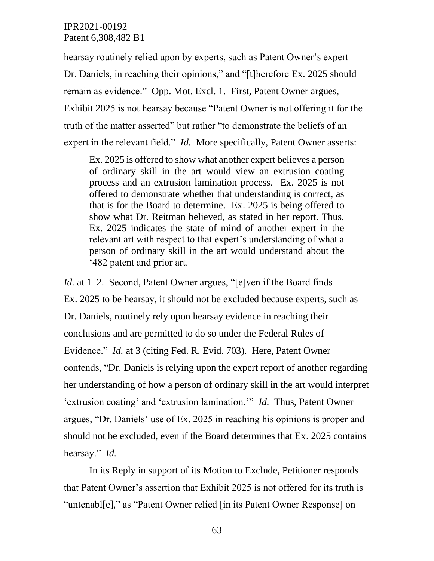hearsay routinely relied upon by experts, such as Patent Owner's expert Dr. Daniels, in reaching their opinions," and "[t]herefore Ex. 2025 should remain as evidence." Opp. Mot. Excl. 1. First, Patent Owner argues, Exhibit 2025 is not hearsay because "Patent Owner is not offering it for the truth of the matter asserted" but rather "to demonstrate the beliefs of an expert in the relevant field." *Id.* More specifically, Patent Owner asserts:

Ex. 2025 is offered to show what another expert believes a person of ordinary skill in the art would view an extrusion coating process and an extrusion lamination process. Ex. 2025 is not offered to demonstrate whether that understanding is correct, as that is for the Board to determine. Ex. 2025 is being offered to show what Dr. Reitman believed, as stated in her report. Thus, Ex. 2025 indicates the state of mind of another expert in the relevant art with respect to that expert's understanding of what a person of ordinary skill in the art would understand about the '482 patent and prior art.

*Id.* at 1–2. Second, Patent Owner argues, "[e]ven if the Board finds Ex. 2025 to be hearsay, it should not be excluded because experts, such as Dr. Daniels, routinely rely upon hearsay evidence in reaching their conclusions and are permitted to do so under the Federal Rules of Evidence." *Id.* at 3 (citing Fed. R. Evid. 703). Here, Patent Owner contends, "Dr. Daniels is relying upon the expert report of another regarding her understanding of how a person of ordinary skill in the art would interpret 'extrusion coating' and 'extrusion lamination.'" *Id.* Thus, Patent Owner argues, "Dr. Daniels' use of Ex. 2025 in reaching his opinions is proper and should not be excluded, even if the Board determines that Ex. 2025 contains hearsay." *Id.*

In its Reply in support of its Motion to Exclude, Petitioner responds that Patent Owner's assertion that Exhibit 2025 is not offered for its truth is "untenabl[e]," as "Patent Owner relied [in its Patent Owner Response] on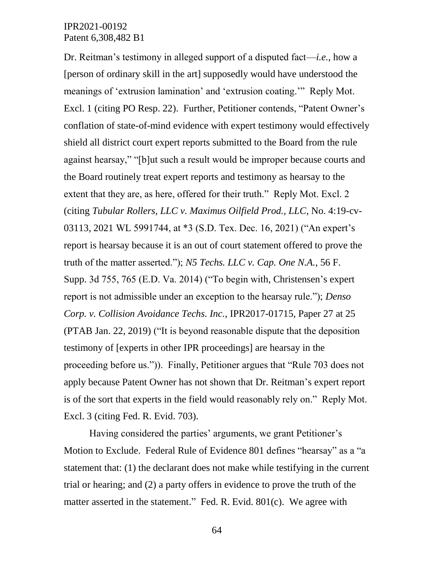Dr. Reitman's testimony in alleged support of a disputed fact—*i.e.*, how a [person of ordinary skill in the art] supposedly would have understood the meanings of 'extrusion lamination' and 'extrusion coating.'" Reply Mot. Excl. 1 (citing PO Resp. 22). Further, Petitioner contends, "Patent Owner's conflation of state-of-mind evidence with expert testimony would effectively shield all district court expert reports submitted to the Board from the rule against hearsay," "[b]ut such a result would be improper because courts and the Board routinely treat expert reports and testimony as hearsay to the extent that they are, as here, offered for their truth." Reply Mot. Excl. 2 (citing *Tubular Rollers, LLC v. Maximus Oilfield Prod., LLC*, No. 4:19-cv-03113, 2021 WL 5991744, at \*3 (S.D. Tex. Dec. 16, 2021) ("An expert's report is hearsay because it is an out of court statement offered to prove the truth of the matter asserted."); *N5 Techs. LLC v. Cap. One N.A.*, 56 F. Supp. 3d 755, 765 (E.D. Va. 2014) ("To begin with, Christensen's expert report is not admissible under an exception to the hearsay rule."); *Denso Corp. v. Collision Avoidance Techs. Inc.*, IPR2017-01715, Paper 27 at 25 (PTAB Jan. 22, 2019) ("It is beyond reasonable dispute that the deposition testimony of [experts in other IPR proceedings] are hearsay in the proceeding before us.")). Finally, Petitioner argues that "Rule 703 does not apply because Patent Owner has not shown that Dr. Reitman's expert report is of the sort that experts in the field would reasonably rely on." Reply Mot. Excl. 3 (citing Fed. R. Evid. 703).

Having considered the parties' arguments, we grant Petitioner's Motion to Exclude. Federal Rule of Evidence 801 defines "hearsay" as a "a statement that: (1) the declarant does not make while testifying in the current trial or hearing; and (2) a party offers in evidence to prove the truth of the matter asserted in the statement." Fed. R. Evid. 801(c). We agree with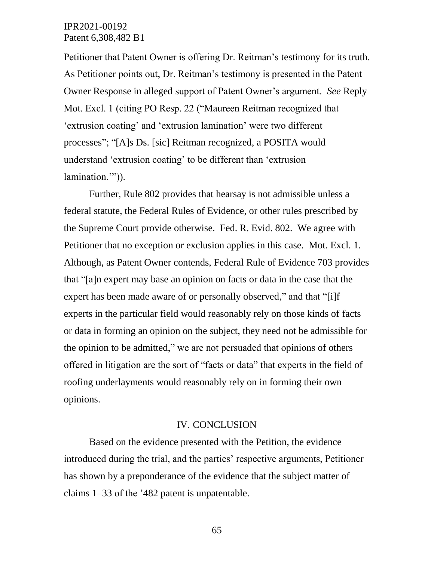Petitioner that Patent Owner is offering Dr. Reitman's testimony for its truth. As Petitioner points out, Dr. Reitman's testimony is presented in the Patent Owner Response in alleged support of Patent Owner's argument. *See* Reply Mot. Excl. 1 (citing PO Resp. 22 ("Maureen Reitman recognized that 'extrusion coating' and 'extrusion lamination' were two different processes"; "[A]s Ds. [sic] Reitman recognized, a POSITA would understand 'extrusion coating' to be different than 'extrusion lamination.").

Further, Rule 802 provides that hearsay is not admissible unless a federal statute, the Federal Rules of Evidence, or other rules prescribed by the Supreme Court provide otherwise. Fed. R. Evid. 802. We agree with Petitioner that no exception or exclusion applies in this case. Mot. Excl. 1. Although, as Patent Owner contends, Federal Rule of Evidence 703 provides that "[a]n expert may base an opinion on facts or data in the case that the expert has been made aware of or personally observed," and that "[i]f experts in the particular field would reasonably rely on those kinds of facts or data in forming an opinion on the subject, they need not be admissible for the opinion to be admitted," we are not persuaded that opinions of others offered in litigation are the sort of "facts or data" that experts in the field of roofing underlayments would reasonably rely on in forming their own opinions.

#### IV. CONCLUSION

Based on the evidence presented with the Petition, the evidence introduced during the trial, and the parties' respective arguments, Petitioner has shown by a preponderance of the evidence that the subject matter of claims 1–33 of the '482 patent is unpatentable.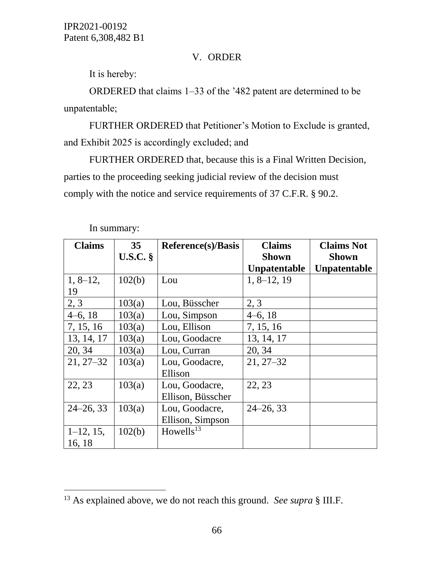## V. ORDER

It is hereby:

ORDERED that claims 1–33 of the '482 patent are determined to be unpatentable;

FURTHER ORDERED that Petitioner's Motion to Exclude is granted, and Exhibit 2025 is accordingly excluded; and

FURTHER ORDERED that, because this is a Final Written Decision, parties to the proceeding seeking judicial review of the decision must comply with the notice and service requirements of 37 C.F.R. § 90.2.

| <b>Claims</b> | 35 <sup>5</sup> | <b>Reference(s)/Basis</b> | <b>Claims</b>       | <b>Claims Not</b>   |
|---------------|-----------------|---------------------------|---------------------|---------------------|
|               | U.S.C.          |                           | <b>Shown</b>        | <b>Shown</b>        |
|               |                 |                           | <b>Unpatentable</b> | <b>Unpatentable</b> |
| $1, 8-12,$    | 102(b)          | Lou                       | $1, 8-12, 19$       |                     |
| 19            |                 |                           |                     |                     |
| 2, 3          | 103(a)          | Lou, Büsscher             | 2, 3                |                     |
| $4-6, 18$     | 103(a)          | Lou, Simpson              | $4-6, 18$           |                     |
| 7, 15, 16     | 103(a)          | Lou, Ellison              | 7, 15, 16           |                     |
| 13, 14, 17    | 103(a)          | Lou, Goodacre             | 13, 14, 17          |                     |
| 20, 34        | 103(a)          | Lou, Curran               | 20, 34              |                     |
| $21, 27 - 32$ | 103(a)          | Lou, Goodacre,            | $21, 27 - 32$       |                     |
|               |                 | Ellison                   |                     |                     |
| 22, 23        | 103(a)          | Lou, Goodacre,            | 22, 23              |                     |
|               |                 | Ellison, Büsscher         |                     |                     |
| $24 - 26, 33$ | 103(a)          | Lou, Goodacre,            | $24 - 26, 33$       |                     |
|               |                 | Ellison, Simpson          |                     |                     |
| $1-12$ , 15,  | 102(b)          | Howells <sup>13</sup>     |                     |                     |
| 16, 18        |                 |                           |                     |                     |

In summary:

 $\overline{a}$ 

<sup>13</sup> As explained above, we do not reach this ground. *See supra* § III.F.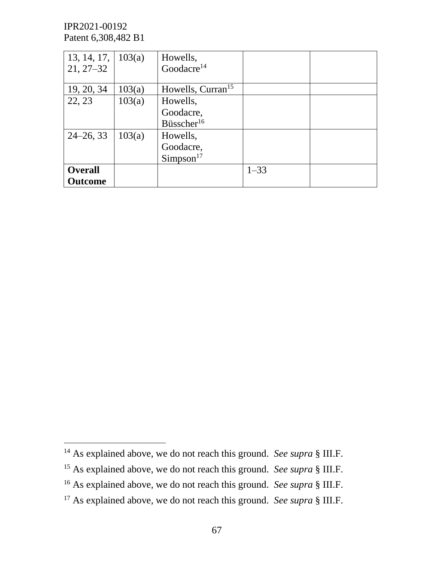$\overline{a}$ 

| 13, 14, 17,   $103(a)$<br>$21, 27 - 32$ |        | Howells,<br>Goodacre $14$                       |          |  |
|-----------------------------------------|--------|-------------------------------------------------|----------|--|
| 19, 20, 34                              | 103(a) | Howells, Curran <sup>15</sup>                   |          |  |
| 22, 23                                  | 103(a) | Howells,<br>Goodacre,<br>Büsscher <sup>16</sup> |          |  |
| $24 - 26, 33$                           | 103(a) | Howells,<br>Goodacre,<br>Simpson <sup>17</sup>  |          |  |
| <b>Overall</b><br><b>Outcome</b>        |        |                                                 | $1 - 33$ |  |

<sup>&</sup>lt;sup>14</sup> As explained above, we do not reach this ground. *See supra* § III.F.

<sup>15</sup> As explained above, we do not reach this ground. *See supra* § III.F.

<sup>16</sup> As explained above, we do not reach this ground. *See supra* § III.F.

<sup>&</sup>lt;sup>17</sup> As explained above, we do not reach this ground. *See supra* § III.F.